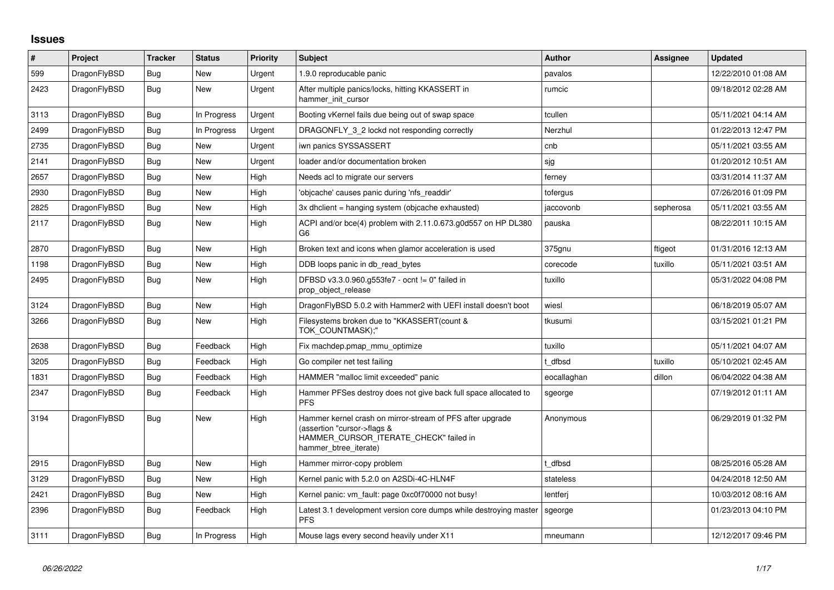## **Issues**

| $\vert$ # | Project      | <b>Tracker</b> | <b>Status</b> | <b>Priority</b> | <b>Subject</b>                                                                                                                                              | Author      | Assignee  | <b>Updated</b>      |
|-----------|--------------|----------------|---------------|-----------------|-------------------------------------------------------------------------------------------------------------------------------------------------------------|-------------|-----------|---------------------|
| 599       | DragonFlyBSD | Bug            | <b>New</b>    | Urgent          | 1.9.0 reproducable panic                                                                                                                                    | pavalos     |           | 12/22/2010 01:08 AM |
| 2423      | DragonFlyBSD | <b>Bug</b>     | New           | Urgent          | After multiple panics/locks, hitting KKASSERT in<br>hammer init cursor                                                                                      | rumcic      |           | 09/18/2012 02:28 AM |
| 3113      | DragonFlyBSD | Bug            | In Progress   | Urgent          | Booting vKernel fails due being out of swap space                                                                                                           | tcullen     |           | 05/11/2021 04:14 AM |
| 2499      | DragonFlyBSD | Bug            | In Progress   | Urgent          | DRAGONFLY 3 2 lockd not responding correctly                                                                                                                | Nerzhul     |           | 01/22/2013 12:47 PM |
| 2735      | DragonFlyBSD | <b>Bug</b>     | <b>New</b>    | Urgent          | iwn panics SYSSASSERT                                                                                                                                       | cnb         |           | 05/11/2021 03:55 AM |
| 2141      | DragonFlyBSD | Bug            | New           | Urgent          | loader and/or documentation broken                                                                                                                          | sjg         |           | 01/20/2012 10:51 AM |
| 2657      | DragonFlyBSD | Bug            | <b>New</b>    | High            | Needs acl to migrate our servers                                                                                                                            | ferney      |           | 03/31/2014 11:37 AM |
| 2930      | DragonFlyBSD | <b>Bug</b>     | New           | High            | 'objcache' causes panic during 'nfs readdir'                                                                                                                | tofergus    |           | 07/26/2016 01:09 PM |
| 2825      | DragonFlyBSD | Bug            | New           | High            | 3x dhclient = hanging system (objcache exhausted)                                                                                                           | jaccovonb   | sepherosa | 05/11/2021 03:55 AM |
| 2117      | DragonFlyBSD | Bug            | <b>New</b>    | High            | ACPI and/or bce(4) problem with 2.11.0.673.g0d557 on HP DL380<br>G6                                                                                         | pauska      |           | 08/22/2011 10:15 AM |
| 2870      | DragonFlyBSD | <b>Bug</b>     | <b>New</b>    | High            | Broken text and icons when glamor acceleration is used                                                                                                      | 375gnu      | ftigeot   | 01/31/2016 12:13 AM |
| 1198      | DragonFlyBSD | Bug            | New           | High            | DDB loops panic in db_read_bytes                                                                                                                            | corecode    | tuxillo   | 05/11/2021 03:51 AM |
| 2495      | DragonFlyBSD | Bug            | New           | High            | DFBSD v3.3.0.960.g553fe7 - ocnt != 0" failed in<br>prop object release                                                                                      | tuxillo     |           | 05/31/2022 04:08 PM |
| 3124      | DragonFlyBSD | Bug            | New           | High            | DragonFlyBSD 5.0.2 with Hammer2 with UEFI install doesn't boot                                                                                              | wiesl       |           | 06/18/2019 05:07 AM |
| 3266      | DragonFlyBSD | <b>Bug</b>     | New           | High            | Filesystems broken due to "KKASSERT(count &<br>TOK COUNTMASK);"                                                                                             | tkusumi     |           | 03/15/2021 01:21 PM |
| 2638      | DragonFlyBSD | <b>Bug</b>     | Feedback      | High            | Fix machdep.pmap_mmu_optimize                                                                                                                               | tuxillo     |           | 05/11/2021 04:07 AM |
| 3205      | DragonFlyBSD | Bug            | Feedback      | High            | Go compiler net test failing                                                                                                                                | t dfbsd     | tuxillo   | 05/10/2021 02:45 AM |
| 1831      | DragonFlyBSD | <b>Bug</b>     | Feedback      | High            | HAMMER "malloc limit exceeded" panic                                                                                                                        | eocallaghan | dillon    | 06/04/2022 04:38 AM |
| 2347      | DragonFlyBSD | Bug            | Feedback      | High            | Hammer PFSes destroy does not give back full space allocated to<br><b>PFS</b>                                                                               | sgeorge     |           | 07/19/2012 01:11 AM |
| 3194      | DragonFlyBSD | <b>Bug</b>     | <b>New</b>    | High            | Hammer kernel crash on mirror-stream of PFS after upgrade<br>(assertion "cursor->flags &<br>HAMMER_CURSOR_ITERATE_CHECK" failed in<br>hammer_btree_iterate) | Anonymous   |           | 06/29/2019 01:32 PM |
| 2915      | DragonFlyBSD | Bug            | <b>New</b>    | High            | Hammer mirror-copy problem                                                                                                                                  | dfbsd       |           | 08/25/2016 05:28 AM |
| 3129      | DragonFlyBSD | Bug            | New           | High            | Kernel panic with 5.2.0 on A2SDi-4C-HLN4F                                                                                                                   | stateless   |           | 04/24/2018 12:50 AM |
| 2421      | DragonFlyBSD | Bug            | New           | High            | Kernel panic: vm fault: page 0xc0f70000 not busy!                                                                                                           | lentferj    |           | 10/03/2012 08:16 AM |
| 2396      | DragonFlyBSD | Bug            | Feedback      | High            | Latest 3.1 development version core dumps while destroying master<br><b>PFS</b>                                                                             | sgeorge     |           | 01/23/2013 04:10 PM |
| 3111      | DragonFlyBSD | Bug            | In Progress   | High            | Mouse lags every second heavily under X11                                                                                                                   | mneumann    |           | 12/12/2017 09:46 PM |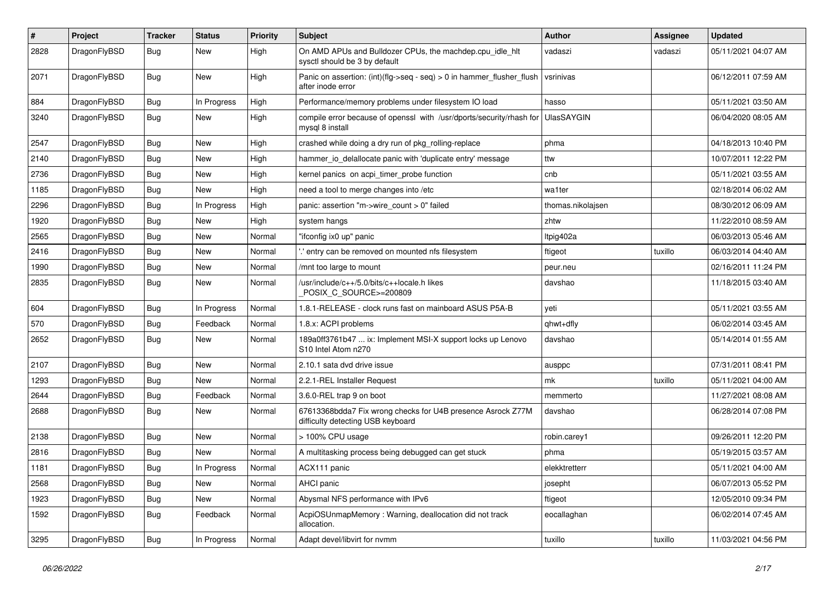| $\#$ | Project      | <b>Tracker</b> | <b>Status</b> | <b>Priority</b> | Subject                                                                                          | Author            | <b>Assignee</b> | <b>Updated</b>      |
|------|--------------|----------------|---------------|-----------------|--------------------------------------------------------------------------------------------------|-------------------|-----------------|---------------------|
| 2828 | DragonFlyBSD | Bug            | New           | High            | On AMD APUs and Bulldozer CPUs, the machdep.cpu_idle_hlt<br>sysctl should be 3 by default        | vadaszi           | vadaszi         | 05/11/2021 04:07 AM |
| 2071 | DragonFlyBSD | Bug            | New           | High            | Panic on assertion: $(int)(flag->seq - seq) > 0$ in hammer flusher flush<br>after inode error    | vsrinivas         |                 | 06/12/2011 07:59 AM |
| 884  | DragonFlyBSD | Bug            | In Progress   | High            | Performance/memory problems under filesystem IO load                                             | hasso             |                 | 05/11/2021 03:50 AM |
| 3240 | DragonFlyBSD | <b>Bug</b>     | New           | High            | compile error because of openssl with /usr/dports/security/rhash for<br>mysql 8 install          | <b>UlasSAYGIN</b> |                 | 06/04/2020 08:05 AM |
| 2547 | DragonFlyBSD | Bug            | New           | High            | crashed while doing a dry run of pkg_rolling-replace                                             | phma              |                 | 04/18/2013 10:40 PM |
| 2140 | DragonFlyBSD | <b>Bug</b>     | New           | High            | hammer_io_delallocate panic with 'duplicate entry' message                                       | ttw               |                 | 10/07/2011 12:22 PM |
| 2736 | DragonFlyBSD | Bug            | <b>New</b>    | High            | kernel panics on acpi_timer_probe function                                                       | cnb               |                 | 05/11/2021 03:55 AM |
| 1185 | DragonFlyBSD | <b>Bug</b>     | New           | High            | need a tool to merge changes into /etc                                                           | wa1ter            |                 | 02/18/2014 06:02 AM |
| 2296 | DragonFlyBSD | <b>Bug</b>     | In Progress   | High            | panic: assertion "m->wire count > 0" failed                                                      | thomas.nikolajsen |                 | 08/30/2012 06:09 AM |
| 1920 | DragonFlyBSD | Bug            | <b>New</b>    | High            | system hangs                                                                                     | zhtw              |                 | 11/22/2010 08:59 AM |
| 2565 | DragonFlyBSD | <b>Bug</b>     | <b>New</b>    | Normal          | "ifconfig ix0 up" panic                                                                          | Itpig402a         |                 | 06/03/2013 05:46 AM |
| 2416 | DragonFlyBSD | Bug            | New           | Normal          | ".' entry can be removed on mounted nfs filesystem                                               | ftigeot           | tuxillo         | 06/03/2014 04:40 AM |
| 1990 | DragonFlyBSD | <b>Bug</b>     | <b>New</b>    | Normal          | /mnt too large to mount                                                                          | peur.neu          |                 | 02/16/2011 11:24 PM |
| 2835 | DragonFlyBSD | Bug            | New           | Normal          | /usr/include/c++/5.0/bits/c++locale.h likes<br>POSIX_C_SOURCE>=200809                            | davshao           |                 | 11/18/2015 03:40 AM |
| 604  | DragonFlyBSD | Bug            | In Progress   | Normal          | 1.8.1-RELEASE - clock runs fast on mainboard ASUS P5A-B                                          | veti              |                 | 05/11/2021 03:55 AM |
| 570  | DragonFlyBSD | Bug            | Feedback      | Normal          | 1.8.x: ACPI problems                                                                             | qhwt+dfly         |                 | 06/02/2014 03:45 AM |
| 2652 | DragonFlyBSD | Bug            | New           | Normal          | 189a0ff3761b47  ix: Implement MSI-X support locks up Lenovo<br>S10 Intel Atom n270               | davshao           |                 | 05/14/2014 01:55 AM |
| 2107 | DragonFlyBSD | Bug            | New           | Normal          | 2.10.1 sata dvd drive issue                                                                      | ausppc            |                 | 07/31/2011 08:41 PM |
| 1293 | DragonFlyBSD | Bug            | New           | Normal          | 2.2.1-REL Installer Request                                                                      | mk                | tuxillo         | 05/11/2021 04:00 AM |
| 2644 | DragonFlyBSD | Bug            | Feedback      | Normal          | 3.6.0-REL trap 9 on boot                                                                         | memmerto          |                 | 11/27/2021 08:08 AM |
| 2688 | DragonFlyBSD | Bug            | New           | Normal          | 67613368bdda7 Fix wrong checks for U4B presence Asrock Z77M<br>difficulty detecting USB keyboard | davshao           |                 | 06/28/2014 07:08 PM |
| 2138 | DragonFlyBSD | Bug            | <b>New</b>    | Normal          | > 100% CPU usage                                                                                 | robin.carey1      |                 | 09/26/2011 12:20 PM |
| 2816 | DragonFlyBSD | Bug            | New           | Normal          | A multitasking process being debugged can get stuck                                              | phma              |                 | 05/19/2015 03:57 AM |
| 1181 | DragonFlyBSD | Bug            | In Progress   | Normal          | ACX111 panic                                                                                     | elekktretterr     |                 | 05/11/2021 04:00 AM |
| 2568 | DragonFlyBSD | <b>Bug</b>     | New           | Normal          | AHCI panic                                                                                       | josepht           |                 | 06/07/2013 05:52 PM |
| 1923 | DragonFlyBSD | <b>Bug</b>     | New           | Normal          | Abysmal NFS performance with IPv6                                                                | ftigeot           |                 | 12/05/2010 09:34 PM |
| 1592 | DragonFlyBSD | <b>Bug</b>     | Feedback      | Normal          | AcpiOSUnmapMemory: Warning, deallocation did not track<br>allocation.                            | eocallaghan       |                 | 06/02/2014 07:45 AM |
| 3295 | DragonFlyBSD | <b>Bug</b>     | In Progress   | Normal          | Adapt devel/libvirt for nvmm                                                                     | tuxillo           | tuxillo         | 11/03/2021 04:56 PM |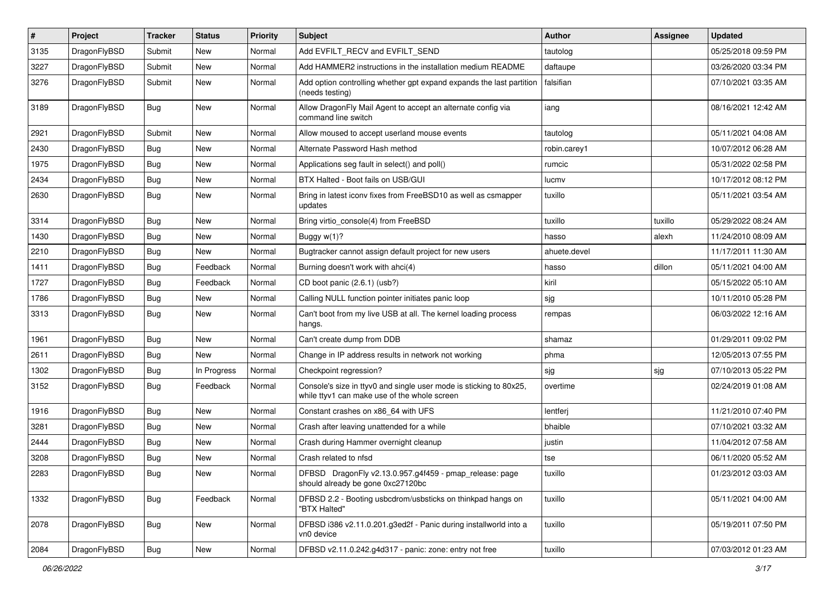| $\pmb{\#}$ | Project      | <b>Tracker</b> | <b>Status</b> | <b>Priority</b> | Subject                                                                                                            | Author       | Assignee | <b>Updated</b>      |
|------------|--------------|----------------|---------------|-----------------|--------------------------------------------------------------------------------------------------------------------|--------------|----------|---------------------|
| 3135       | DragonFlyBSD | Submit         | New           | Normal          | Add EVFILT_RECV and EVFILT_SEND                                                                                    | tautolog     |          | 05/25/2018 09:59 PM |
| 3227       | DragonFlyBSD | Submit         | New           | Normal          | Add HAMMER2 instructions in the installation medium README                                                         | daftaupe     |          | 03/26/2020 03:34 PM |
| 3276       | DragonFlyBSD | Submit         | New           | Normal          | Add option controlling whether gpt expand expands the last partition<br>(needs testing)                            | falsifian    |          | 07/10/2021 03:35 AM |
| 3189       | DragonFlyBSD | Bug            | <b>New</b>    | Normal          | Allow DragonFly Mail Agent to accept an alternate config via<br>command line switch                                | iang         |          | 08/16/2021 12:42 AM |
| 2921       | DragonFlyBSD | Submit         | New           | Normal          | Allow moused to accept userland mouse events                                                                       | tautolog     |          | 05/11/2021 04:08 AM |
| 2430       | DragonFlyBSD | <b>Bug</b>     | <b>New</b>    | Normal          | Alternate Password Hash method                                                                                     | robin.carey1 |          | 10/07/2012 06:28 AM |
| 1975       | DragonFlyBSD | <b>Bug</b>     | New           | Normal          | Applications seg fault in select() and poll()                                                                      | rumcic       |          | 05/31/2022 02:58 PM |
| 2434       | DragonFlyBSD | Bug            | New           | Normal          | BTX Halted - Boot fails on USB/GUI                                                                                 | lucmv        |          | 10/17/2012 08:12 PM |
| 2630       | DragonFlyBSD | Bug            | New           | Normal          | Bring in latest iconv fixes from FreeBSD10 as well as csmapper<br>updates                                          | tuxillo      |          | 05/11/2021 03:54 AM |
| 3314       | DragonFlyBSD | Bug            | <b>New</b>    | Normal          | Bring virtio_console(4) from FreeBSD                                                                               | tuxillo      | tuxillo  | 05/29/2022 08:24 AM |
| 1430       | DragonFlyBSD | Bug            | New           | Normal          | Buggy $w(1)$ ?                                                                                                     | hasso        | alexh    | 11/24/2010 08:09 AM |
| 2210       | DragonFlyBSD | Bug            | New           | Normal          | Bugtracker cannot assign default project for new users                                                             | ahuete.devel |          | 11/17/2011 11:30 AM |
| 1411       | DragonFlyBSD | Bug            | Feedback      | Normal          | Burning doesn't work with ahci(4)                                                                                  | hasso        | dillon   | 05/11/2021 04:00 AM |
| 1727       | DragonFlyBSD | Bug            | Feedback      | Normal          | CD boot panic (2.6.1) (usb?)                                                                                       | kiril        |          | 05/15/2022 05:10 AM |
| 1786       | DragonFlyBSD | Bug            | <b>New</b>    | Normal          | Calling NULL function pointer initiates panic loop                                                                 | sjg          |          | 10/11/2010 05:28 PM |
| 3313       | DragonFlyBSD | Bug            | New           | Normal          | Can't boot from my live USB at all. The kernel loading process<br>hangs.                                           | rempas       |          | 06/03/2022 12:16 AM |
| 1961       | DragonFlyBSD | Bug            | <b>New</b>    | Normal          | Can't create dump from DDB                                                                                         | shamaz       |          | 01/29/2011 09:02 PM |
| 2611       | DragonFlyBSD | Bug            | New           | Normal          | Change in IP address results in network not working                                                                | phma         |          | 12/05/2013 07:55 PM |
| 1302       | DragonFlyBSD | Bug            | In Progress   | Normal          | Checkpoint regression?                                                                                             | sjg          | sjg      | 07/10/2013 05:22 PM |
| 3152       | DragonFlyBSD | Bug            | Feedback      | Normal          | Console's size in ttyv0 and single user mode is sticking to 80x25,<br>while ttyv1 can make use of the whole screen | overtime     |          | 02/24/2019 01:08 AM |
| 1916       | DragonFlyBSD | Bug            | <b>New</b>    | Normal          | Constant crashes on x86_64 with UFS                                                                                | lentferj     |          | 11/21/2010 07:40 PM |
| 3281       | DragonFlyBSD | Bug            | New           | Normal          | Crash after leaving unattended for a while                                                                         | bhaible      |          | 07/10/2021 03:32 AM |
| 2444       | DragonFlyBSD | Bug            | <b>New</b>    | Normal          | Crash during Hammer overnight cleanup                                                                              | justin       |          | 11/04/2012 07:58 AM |
| 3208       | DragonFlyBSD | Bug            | New           | Normal          | Crash related to nfsd                                                                                              | tse          |          | 06/11/2020 05:52 AM |
| 2283       | DragonFlyBSD | <b>Bug</b>     | <b>New</b>    | Normal          | DFBSD DragonFly v2.13.0.957.g4f459 - pmap_release: page<br>should already be gone 0xc27120bc                       | tuxillo      |          | 01/23/2012 03:03 AM |
| 1332       | DragonFlyBSD | <b>Bug</b>     | Feedback      | Normal          | DFBSD 2.2 - Booting usbcdrom/usbsticks on thinkpad hangs on<br>"BTX Halted"                                        | tuxillo      |          | 05/11/2021 04:00 AM |
| 2078       | DragonFlyBSD | Bug            | New           | Normal          | DFBSD i386 v2.11.0.201.g3ed2f - Panic during installworld into a<br>vn0 device                                     | tuxillo      |          | 05/19/2011 07:50 PM |
| 2084       | DragonFlyBSD | Bug            | New           | Normal          | DFBSD v2.11.0.242.g4d317 - panic: zone: entry not free                                                             | tuxillo      |          | 07/03/2012 01:23 AM |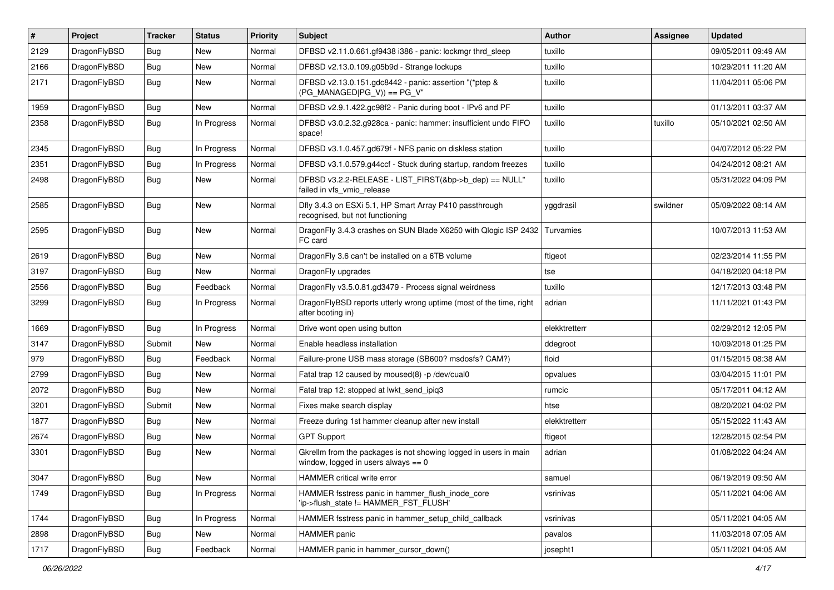| $\vert$ # | Project      | <b>Tracker</b> | <b>Status</b> | <b>Priority</b> | Subject                                                                                                   | Author        | <b>Assignee</b> | <b>Updated</b>      |
|-----------|--------------|----------------|---------------|-----------------|-----------------------------------------------------------------------------------------------------------|---------------|-----------------|---------------------|
| 2129      | DragonFlyBSD | <b>Bug</b>     | New           | Normal          | DFBSD v2.11.0.661.gf9438 i386 - panic: lockmgr thrd_sleep                                                 | tuxillo       |                 | 09/05/2011 09:49 AM |
| 2166      | DragonFlyBSD | <b>Bug</b>     | New           | Normal          | DFBSD v2.13.0.109.g05b9d - Strange lockups                                                                | tuxillo       |                 | 10/29/2011 11:20 AM |
| 2171      | DragonFlyBSD | <b>Bug</b>     | New           | Normal          | DFBSD v2.13.0.151.gdc8442 - panic: assertion "(*ptep &<br>$(PG_MANAGED PG_V)) == PG_V"$                   | tuxillo       |                 | 11/04/2011 05:06 PM |
| 1959      | DragonFlyBSD | Bug            | <b>New</b>    | Normal          | DFBSD v2.9.1.422.gc98f2 - Panic during boot - IPv6 and PF                                                 | tuxillo       |                 | 01/13/2011 03:37 AM |
| 2358      | DragonFlyBSD | <b>Bug</b>     | In Progress   | Normal          | DFBSD v3.0.2.32.g928ca - panic: hammer: insufficient undo FIFO<br>space!                                  | tuxillo       | tuxillo         | 05/10/2021 02:50 AM |
| 2345      | DragonFlyBSD | <b>Bug</b>     | In Progress   | Normal          | DFBSD v3.1.0.457.gd679f - NFS panic on diskless station                                                   | tuxillo       |                 | 04/07/2012 05:22 PM |
| 2351      | DragonFlyBSD | <b>Bug</b>     | In Progress   | Normal          | DFBSD v3.1.0.579.g44ccf - Stuck during startup, random freezes                                            | tuxillo       |                 | 04/24/2012 08:21 AM |
| 2498      | DragonFlyBSD | <b>Bug</b>     | New           | Normal          | DFBSD v3.2.2-RELEASE - LIST_FIRST(&bp->b_dep) == NULL"<br>failed in vfs_vmio_release                      | tuxillo       |                 | 05/31/2022 04:09 PM |
| 2585      | DragonFlyBSD | <b>Bug</b>     | New           | Normal          | Dfly 3.4.3 on ESXi 5.1, HP Smart Array P410 passthrough<br>recognised, but not functioning                | yggdrasil     | swildner        | 05/09/2022 08:14 AM |
| 2595      | DragonFlyBSD | <b>Bug</b>     | <b>New</b>    | Normal          | DragonFly 3.4.3 crashes on SUN Blade X6250 with Qlogic ISP 2432<br>FC card                                | Turvamies     |                 | 10/07/2013 11:53 AM |
| 2619      | DragonFlyBSD | <b>Bug</b>     | <b>New</b>    | Normal          | DragonFly 3.6 can't be installed on a 6TB volume                                                          | ftigeot       |                 | 02/23/2014 11:55 PM |
| 3197      | DragonFlyBSD | <b>Bug</b>     | New           | Normal          | DragonFly upgrades                                                                                        | tse           |                 | 04/18/2020 04:18 PM |
| 2556      | DragonFlyBSD | <b>Bug</b>     | Feedback      | Normal          | DragonFly v3.5.0.81.gd3479 - Process signal weirdness                                                     | tuxillo       |                 | 12/17/2013 03:48 PM |
| 3299      | DragonFlyBSD | <b>Bug</b>     | In Progress   | Normal          | DragonFlyBSD reports utterly wrong uptime (most of the time, right<br>after booting in)                   | adrian        |                 | 11/11/2021 01:43 PM |
| 1669      | DragonFlyBSD | <b>Bug</b>     | In Progress   | Normal          | Drive wont open using button                                                                              | elekktretterr |                 | 02/29/2012 12:05 PM |
| 3147      | DragonFlyBSD | Submit         | New           | Normal          | Enable headless installation                                                                              | ddegroot      |                 | 10/09/2018 01:25 PM |
| 979       | DragonFlyBSD | <b>Bug</b>     | Feedback      | Normal          | Failure-prone USB mass storage (SB600? msdosfs? CAM?)                                                     | floid         |                 | 01/15/2015 08:38 AM |
| 2799      | DragonFlyBSD | <b>Bug</b>     | New           | Normal          | Fatal trap 12 caused by moused(8) -p /dev/cual0                                                           | opvalues      |                 | 03/04/2015 11:01 PM |
| 2072      | DragonFlyBSD | Bug            | <b>New</b>    | Normal          | Fatal trap 12: stopped at lwkt_send_ipiq3                                                                 | rumcic        |                 | 05/17/2011 04:12 AM |
| 3201      | DragonFlyBSD | Submit         | New           | Normal          | Fixes make search display                                                                                 | htse          |                 | 08/20/2021 04:02 PM |
| 1877      | DragonFlyBSD | <b>Bug</b>     | New           | Normal          | Freeze during 1st hammer cleanup after new install                                                        | elekktretterr |                 | 05/15/2022 11:43 AM |
| 2674      | DragonFlyBSD | <b>Bug</b>     | New           | Normal          | <b>GPT Support</b>                                                                                        | ftigeot       |                 | 12/28/2015 02:54 PM |
| 3301      | DragonFlyBSD | Bug            | New           | Normal          | Gkrellm from the packages is not showing logged in users in main<br>window, logged in users always $== 0$ | adrian        |                 | 01/08/2022 04:24 AM |
| 3047      | DragonFlyBSD | Bug            | New           | Normal          | HAMMER critical write error                                                                               | samuel        |                 | 06/19/2019 09:50 AM |
| 1749      | DragonFlyBSD | <b>Bug</b>     | In Progress   | Normal          | HAMMER fsstress panic in hammer_flush_inode_core<br>'ip->flush_state != HAMMER_FST_FLUSH'                 | vsrinivas     |                 | 05/11/2021 04:06 AM |
| 1744      | DragonFlyBSD | <b>Bug</b>     | In Progress   | Normal          | HAMMER fsstress panic in hammer setup child callback                                                      | vsrinivas     |                 | 05/11/2021 04:05 AM |
| 2898      | DragonFlyBSD | <b>Bug</b>     | New           | Normal          | HAMMER panic                                                                                              | pavalos       |                 | 11/03/2018 07:05 AM |
| 1717      | DragonFlyBSD | <b>Bug</b>     | Feedback      | Normal          | HAMMER panic in hammer_cursor_down()                                                                      | josepht1      |                 | 05/11/2021 04:05 AM |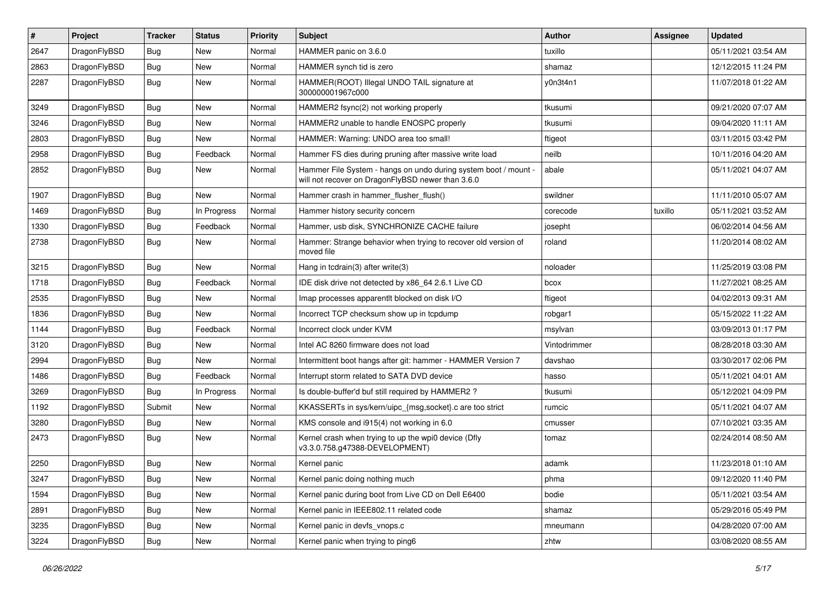| #    | Project      | <b>Tracker</b> | <b>Status</b> | <b>Priority</b> | <b>Subject</b>                                                                                                       | <b>Author</b> | <b>Assignee</b> | <b>Updated</b>      |
|------|--------------|----------------|---------------|-----------------|----------------------------------------------------------------------------------------------------------------------|---------------|-----------------|---------------------|
| 2647 | DragonFlyBSD | Bug            | <b>New</b>    | Normal          | HAMMER panic on 3.6.0                                                                                                | tuxillo       |                 | 05/11/2021 03:54 AM |
| 2863 | DragonFlyBSD | Bug            | <b>New</b>    | Normal          | HAMMER synch tid is zero                                                                                             | shamaz        |                 | 12/12/2015 11:24 PM |
| 2287 | DragonFlyBSD | Bug            | New           | Normal          | HAMMER(ROOT) Illegal UNDO TAIL signature at<br>300000001967c000                                                      | y0n3t4n1      |                 | 11/07/2018 01:22 AM |
| 3249 | DragonFlyBSD | <b>Bug</b>     | <b>New</b>    | Normal          | HAMMER2 fsync(2) not working properly                                                                                | tkusumi       |                 | 09/21/2020 07:07 AM |
| 3246 | DragonFlyBSD | <b>Bug</b>     | <b>New</b>    | Normal          | HAMMER2 unable to handle ENOSPC properly                                                                             | tkusumi       |                 | 09/04/2020 11:11 AM |
| 2803 | DragonFlyBSD | <b>Bug</b>     | <b>New</b>    | Normal          | HAMMER: Warning: UNDO area too small!                                                                                | ftigeot       |                 | 03/11/2015 03:42 PM |
| 2958 | DragonFlyBSD | <b>Bug</b>     | Feedback      | Normal          | Hammer FS dies during pruning after massive write load                                                               | neilb         |                 | 10/11/2016 04:20 AM |
| 2852 | DragonFlyBSD | <b>Bug</b>     | New           | Normal          | Hammer File System - hangs on undo during system boot / mount -<br>will not recover on DragonFlyBSD newer than 3.6.0 | abale         |                 | 05/11/2021 04:07 AM |
| 1907 | DragonFlyBSD | Bug            | <b>New</b>    | Normal          | Hammer crash in hammer_flusher_flush()                                                                               | swildner      |                 | 11/11/2010 05:07 AM |
| 1469 | DragonFlyBSD | Bug            | In Progress   | Normal          | Hammer history security concern                                                                                      | corecode      | tuxillo         | 05/11/2021 03:52 AM |
| 1330 | DragonFlyBSD | <b>Bug</b>     | Feedback      | Normal          | Hammer, usb disk, SYNCHRONIZE CACHE failure                                                                          | josepht       |                 | 06/02/2014 04:56 AM |
| 2738 | DragonFlyBSD | Bug            | <b>New</b>    | Normal          | Hammer: Strange behavior when trying to recover old version of<br>moved file                                         | roland        |                 | 11/20/2014 08:02 AM |
| 3215 | DragonFlyBSD | Bug            | <b>New</b>    | Normal          | Hang in tcdrain(3) after write(3)                                                                                    | noloader      |                 | 11/25/2019 03:08 PM |
| 1718 | DragonFlyBSD | Bug            | Feedback      | Normal          | IDE disk drive not detected by x86 64 2.6.1 Live CD                                                                  | bcox          |                 | 11/27/2021 08:25 AM |
| 2535 | DragonFlyBSD | <b>Bug</b>     | <b>New</b>    | Normal          | Imap processes apparentlt blocked on disk I/O                                                                        | ftigeot       |                 | 04/02/2013 09:31 AM |
| 1836 | DragonFlyBSD | <b>Bug</b>     | New           | Normal          | Incorrect TCP checksum show up in tcpdump                                                                            | robgar1       |                 | 05/15/2022 11:22 AM |
| 1144 | DragonFlyBSD | Bug            | Feedback      | Normal          | Incorrect clock under KVM                                                                                            | msylvan       |                 | 03/09/2013 01:17 PM |
| 3120 | DragonFlyBSD | Bug            | <b>New</b>    | Normal          | Intel AC 8260 firmware does not load                                                                                 | Vintodrimmer  |                 | 08/28/2018 03:30 AM |
| 2994 | DragonFlyBSD | <b>Bug</b>     | <b>New</b>    | Normal          | Intermittent boot hangs after git: hammer - HAMMER Version 7                                                         | davshao       |                 | 03/30/2017 02:06 PM |
| 1486 | DragonFlyBSD | <b>Bug</b>     | Feedback      | Normal          | Interrupt storm related to SATA DVD device                                                                           | hasso         |                 | 05/11/2021 04:01 AM |
| 3269 | DragonFlyBSD | Bug            | In Progress   | Normal          | Is double-buffer'd buf still required by HAMMER2?                                                                    | tkusumi       |                 | 05/12/2021 04:09 PM |
| 1192 | DragonFlyBSD | Submit         | <b>New</b>    | Normal          | KKASSERTs in sys/kern/uipc_{msg,socket}.c are too strict                                                             | rumcic        |                 | 05/11/2021 04:07 AM |
| 3280 | DragonFlyBSD | <b>Bug</b>     | <b>New</b>    | Normal          | KMS console and i915(4) not working in 6.0                                                                           | cmusser       |                 | 07/10/2021 03:35 AM |
| 2473 | DragonFlyBSD | Bug            | <b>New</b>    | Normal          | Kernel crash when trying to up the wpi0 device (Dfly<br>v3.3.0.758.g47388-DEVELOPMENT)                               | tomaz         |                 | 02/24/2014 08:50 AM |
| 2250 | DragonFlyBSD | Bug            | <b>New</b>    | Normal          | Kernel panic                                                                                                         | adamk         |                 | 11/23/2018 01:10 AM |
| 3247 | DragonFlyBSD | <b>Bug</b>     | New           | Normal          | Kernel panic doing nothing much                                                                                      | phma          |                 | 09/12/2020 11:40 PM |
| 1594 | DragonFlyBSD | <b>Bug</b>     | New           | Normal          | Kernel panic during boot from Live CD on Dell E6400                                                                  | bodie         |                 | 05/11/2021 03:54 AM |
| 2891 | DragonFlyBSD | <b>Bug</b>     | New           | Normal          | Kernel panic in IEEE802.11 related code                                                                              | shamaz        |                 | 05/29/2016 05:49 PM |
| 3235 | DragonFlyBSD | <b>Bug</b>     | New           | Normal          | Kernel panic in devfs_vnops.c                                                                                        | mneumann      |                 | 04/28/2020 07:00 AM |
| 3224 | DragonFlyBSD | Bug            | New           | Normal          | Kernel panic when trying to ping6                                                                                    | zhtw          |                 | 03/08/2020 08:55 AM |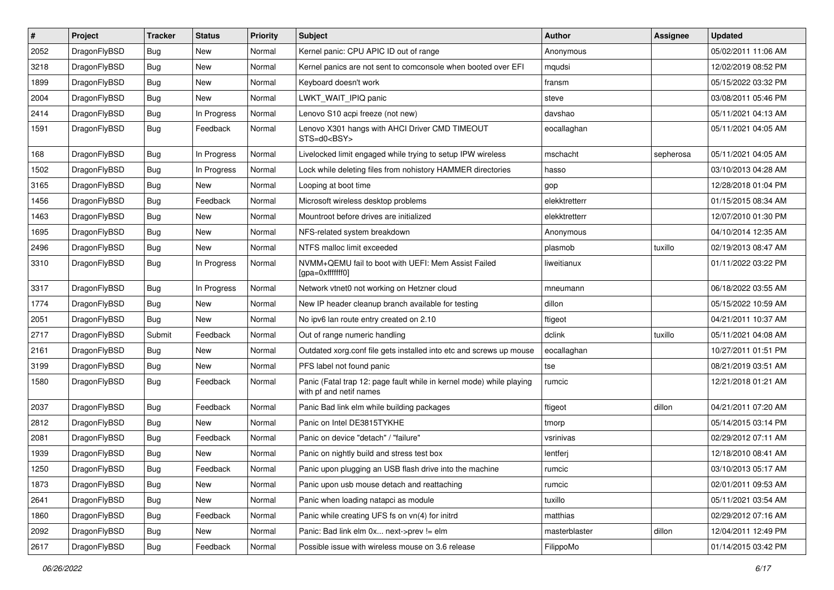| $\sharp$ | Project      | <b>Tracker</b> | <b>Status</b> | <b>Priority</b> | Subject                                                                                         | Author        | Assignee  | <b>Updated</b>      |
|----------|--------------|----------------|---------------|-----------------|-------------------------------------------------------------------------------------------------|---------------|-----------|---------------------|
| 2052     | DragonFlyBSD | <b>Bug</b>     | <b>New</b>    | Normal          | Kernel panic: CPU APIC ID out of range                                                          | Anonymous     |           | 05/02/2011 11:06 AM |
| 3218     | DragonFlyBSD | Bug            | New           | Normal          | Kernel panics are not sent to comconsole when booted over EFI                                   | mqudsi        |           | 12/02/2019 08:52 PM |
| 1899     | DragonFlyBSD | <b>Bug</b>     | New           | Normal          | Keyboard doesn't work                                                                           | fransm        |           | 05/15/2022 03:32 PM |
| 2004     | DragonFlyBSD | <b>Bug</b>     | New           | Normal          | LWKT WAIT IPIQ panic                                                                            | steve         |           | 03/08/2011 05:46 PM |
| 2414     | DragonFlyBSD | Bug            | In Progress   | Normal          | Lenovo S10 acpi freeze (not new)                                                                | davshao       |           | 05/11/2021 04:13 AM |
| 1591     | DragonFlyBSD | <b>Bug</b>     | Feedback      | Normal          | Lenovo X301 hangs with AHCI Driver CMD TIMEOUT<br>STS=d0 <bsy></bsy>                            | eocallaghan   |           | 05/11/2021 04:05 AM |
| 168      | DragonFlyBSD | Bug            | In Progress   | Normal          | Livelocked limit engaged while trying to setup IPW wireless                                     | mschacht      | sepherosa | 05/11/2021 04:05 AM |
| 1502     | DragonFlyBSD | <b>Bug</b>     | In Progress   | Normal          | Lock while deleting files from nohistory HAMMER directories                                     | hasso         |           | 03/10/2013 04:28 AM |
| 3165     | DragonFlyBSD | Bug            | <b>New</b>    | Normal          | Looping at boot time                                                                            | gop           |           | 12/28/2018 01:04 PM |
| 1456     | DragonFlyBSD | <b>Bug</b>     | Feedback      | Normal          | Microsoft wireless desktop problems                                                             | elekktretterr |           | 01/15/2015 08:34 AM |
| 1463     | DragonFlyBSD | <b>Bug</b>     | New           | Normal          | Mountroot before drives are initialized                                                         | elekktretterr |           | 12/07/2010 01:30 PM |
| 1695     | DragonFlyBSD | <b>Bug</b>     | New           | Normal          | NFS-related system breakdown                                                                    | Anonymous     |           | 04/10/2014 12:35 AM |
| 2496     | DragonFlyBSD | <b>Bug</b>     | New           | Normal          | NTFS malloc limit exceeded                                                                      | plasmob       | tuxillo   | 02/19/2013 08:47 AM |
| 3310     | DragonFlyBSD | Bug            | In Progress   | Normal          | NVMM+QEMU fail to boot with UEFI: Mem Assist Failed<br>[gpa=0xfffffff0]                         | liweitianux   |           | 01/11/2022 03:22 PM |
| 3317     | DragonFlyBSD | Bug            | In Progress   | Normal          | Network vtnet0 not working on Hetzner cloud                                                     | mneumann      |           | 06/18/2022 03:55 AM |
| 1774     | DragonFlyBSD | Bug            | <b>New</b>    | Normal          | New IP header cleanup branch available for testing                                              | dillon        |           | 05/15/2022 10:59 AM |
| 2051     | DragonFlyBSD | Bug            | New           | Normal          | No ipv6 lan route entry created on 2.10                                                         | ftigeot       |           | 04/21/2011 10:37 AM |
| 2717     | DragonFlyBSD | Submit         | Feedback      | Normal          | Out of range numeric handling                                                                   | dclink        | tuxillo   | 05/11/2021 04:08 AM |
| 2161     | DragonFlyBSD | <b>Bug</b>     | New           | Normal          | Outdated xorg.conf file gets installed into etc and screws up mouse                             | eocallaghan   |           | 10/27/2011 01:51 PM |
| 3199     | DragonFlyBSD | <b>Bug</b>     | New           | Normal          | PFS label not found panic                                                                       | tse           |           | 08/21/2019 03:51 AM |
| 1580     | DragonFlyBSD | Bug            | Feedback      | Normal          | Panic (Fatal trap 12: page fault while in kernel mode) while playing<br>with pf and netif names | rumcic        |           | 12/21/2018 01:21 AM |
| 2037     | DragonFlyBSD | Bug            | Feedback      | Normal          | Panic Bad link elm while building packages                                                      | ftigeot       | dillon    | 04/21/2011 07:20 AM |
| 2812     | DragonFlyBSD | Bug            | New           | Normal          | Panic on Intel DE3815TYKHE                                                                      | tmorp         |           | 05/14/2015 03:14 PM |
| 2081     | DragonFlyBSD | <b>Bug</b>     | Feedback      | Normal          | Panic on device "detach" / "failure"                                                            | vsrinivas     |           | 02/29/2012 07:11 AM |
| 1939     | DragonFlyBSD | <b>Bug</b>     | New           | Normal          | Panic on nightly build and stress test box                                                      | lentferj      |           | 12/18/2010 08:41 AM |
| 1250     | DragonFlyBSD | Bug            | Feedback      | Normal          | Panic upon plugging an USB flash drive into the machine                                         | rumcic        |           | 03/10/2013 05:17 AM |
| 1873     | DragonFlyBSD | <b>Bug</b>     | New           | Normal          | Panic upon usb mouse detach and reattaching                                                     | rumcic        |           | 02/01/2011 09:53 AM |
| 2641     | DragonFlyBSD | Bug            | New           | Normal          | Panic when loading natapci as module                                                            | tuxillo       |           | 05/11/2021 03:54 AM |
| 1860     | DragonFlyBSD | Bug            | Feedback      | Normal          | Panic while creating UFS fs on vn(4) for initrd                                                 | matthias      |           | 02/29/2012 07:16 AM |
| 2092     | DragonFlyBSD | Bug            | New           | Normal          | Panic: Bad link elm 0x next->prev != elm                                                        | masterblaster | dillon    | 12/04/2011 12:49 PM |
| 2617     | DragonFlyBSD | <b>Bug</b>     | Feedback      | Normal          | Possible issue with wireless mouse on 3.6 release                                               | FilippoMo     |           | 01/14/2015 03:42 PM |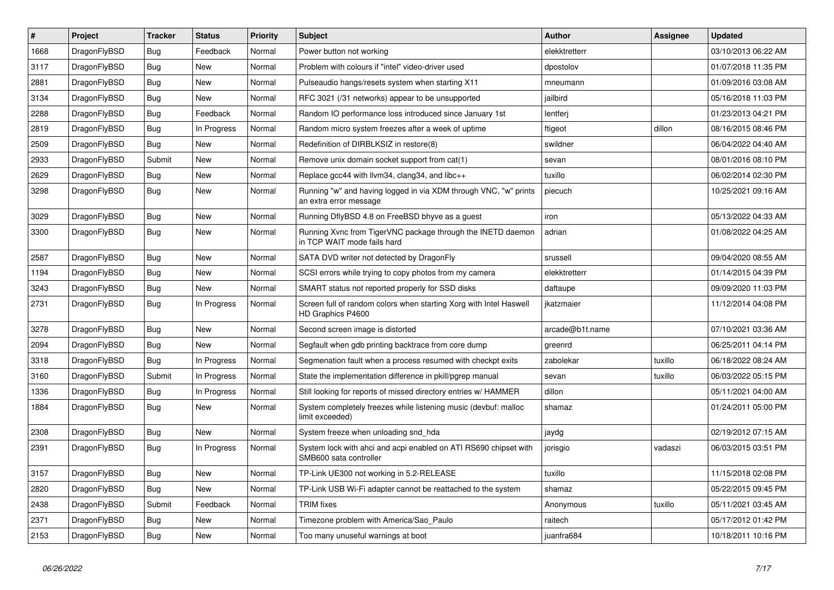| $\vert$ # | <b>Project</b> | <b>Tracker</b> | <b>Status</b> | <b>Priority</b> | <b>Subject</b>                                                                             | Author          | Assignee | <b>Updated</b>      |
|-----------|----------------|----------------|---------------|-----------------|--------------------------------------------------------------------------------------------|-----------------|----------|---------------------|
| 1668      | DragonFlyBSD   | Bug            | Feedback      | Normal          | Power button not working                                                                   | elekktretterr   |          | 03/10/2013 06:22 AM |
| 3117      | DragonFlyBSD   | Bug            | New           | Normal          | Problem with colours if "intel" video-driver used                                          | dpostolov       |          | 01/07/2018 11:35 PM |
| 2881      | DragonFlyBSD   | <b>Bug</b>     | <b>New</b>    | Normal          | Pulseaudio hangs/resets system when starting X11                                           | mneumann        |          | 01/09/2016 03:08 AM |
| 3134      | DragonFlyBSD   | Bug            | New           | Normal          | RFC 3021 (/31 networks) appear to be unsupported                                           | jailbird        |          | 05/16/2018 11:03 PM |
| 2288      | DragonFlyBSD   | Bug            | Feedback      | Normal          | Random IO performance loss introduced since January 1st                                    | lentferi        |          | 01/23/2013 04:21 PM |
| 2819      | DragonFlyBSD   | <b>Bug</b>     | In Progress   | Normal          | Random micro system freezes after a week of uptime                                         | ftigeot         | dillon   | 08/16/2015 08:46 PM |
| 2509      | DragonFlyBSD   | <b>Bug</b>     | <b>New</b>    | Normal          | Redefinition of DIRBLKSIZ in restore(8)                                                    | swildner        |          | 06/04/2022 04:40 AM |
| 2933      | DragonFlyBSD   | Submit         | <b>New</b>    | Normal          | Remove unix domain socket support from cat(1)                                              | sevan           |          | 08/01/2016 08:10 PM |
| 2629      | DragonFlyBSD   | <b>Bug</b>     | <b>New</b>    | Normal          | Replace gcc44 with llvm34, clang34, and libc++                                             | tuxillo         |          | 06/02/2014 02:30 PM |
| 3298      | DragonFlyBSD   | <b>Bug</b>     | New           | Normal          | Running "w" and having logged in via XDM through VNC, "w" prints<br>an extra error message | piecuch         |          | 10/25/2021 09:16 AM |
| 3029      | DragonFlyBSD   | <b>Bug</b>     | New           | Normal          | Running DflyBSD 4.8 on FreeBSD bhyve as a guest                                            | iron            |          | 05/13/2022 04:33 AM |
| 3300      | DragonFlyBSD   | <b>Bug</b>     | <b>New</b>    | Normal          | Running Xvnc from TigerVNC package through the INETD daemon<br>in TCP WAIT mode fails hard | adrian          |          | 01/08/2022 04:25 AM |
| 2587      | DragonFlyBSD   | <b>Bug</b>     | New           | Normal          | SATA DVD writer not detected by DragonFly                                                  | srussell        |          | 09/04/2020 08:55 AM |
| 1194      | DragonFlyBSD   | Bug            | New           | Normal          | SCSI errors while trying to copy photos from my camera                                     | elekktretterr   |          | 01/14/2015 04:39 PM |
| 3243      | DragonFlyBSD   | <b>Bug</b>     | <b>New</b>    | Normal          | SMART status not reported properly for SSD disks                                           | daftaupe        |          | 09/09/2020 11:03 PM |
| 2731      | DragonFlyBSD   | Bug            | In Progress   | Normal          | Screen full of random colors when starting Xorg with Intel Haswell<br>HD Graphics P4600    | ikatzmaier      |          | 11/12/2014 04:08 PM |
| 3278      | DragonFlyBSD   | Bug            | New           | Normal          | Second screen image is distorted                                                           | arcade@b1t.name |          | 07/10/2021 03:36 AM |
| 2094      | DragonFlyBSD   | <b>Bug</b>     | <b>New</b>    | Normal          | Segfault when gdb printing backtrace from core dump                                        | greenrd         |          | 06/25/2011 04:14 PM |
| 3318      | DragonFlyBSD   | <b>Bug</b>     | In Progress   | Normal          | Segmenation fault when a process resumed with checkpt exits                                | zabolekar       | tuxillo  | 06/18/2022 08:24 AM |
| 3160      | DragonFlyBSD   | Submit         | In Progress   | Normal          | State the implementation difference in pkill/pgrep manual                                  | sevan           | tuxillo  | 06/03/2022 05:15 PM |
| 1336      | DragonFlyBSD   | Bug            | In Progress   | Normal          | Still looking for reports of missed directory entries w/ HAMMER                            | dillon          |          | 05/11/2021 04:00 AM |
| 1884      | DragonFlyBSD   | <b>Bug</b>     | <b>New</b>    | Normal          | System completely freezes while listening music (devbuf: malloc<br>limit exceeded)         | shamaz          |          | 01/24/2011 05:00 PM |
| 2308      | DragonFlyBSD   | <b>Bug</b>     | <b>New</b>    | Normal          | System freeze when unloading snd_hda                                                       | jaydg           |          | 02/19/2012 07:15 AM |
| 2391      | DragonFlyBSD   | <b>Bug</b>     | In Progress   | Normal          | System lock with ahci and acpi enabled on ATI RS690 chipset with<br>SMB600 sata controller | jorisgio        | vadaszi  | 06/03/2015 03:51 PM |
| 3157      | DragonFlyBSD   | Bug            | New           | Normal          | TP-Link UE300 not working in 5.2-RELEASE                                                   | tuxillo         |          | 11/15/2018 02:08 PM |
| 2820      | DragonFlyBSD   | <b>Bug</b>     | New           | Normal          | TP-Link USB Wi-Fi adapter cannot be reattached to the system                               | shamaz          |          | 05/22/2015 09:45 PM |
| 2438      | DragonFlyBSD   | Submit         | Feedback      | Normal          | <b>TRIM</b> fixes                                                                          | Anonymous       | tuxillo  | 05/11/2021 03:45 AM |
| 2371      | DragonFlyBSD   | <b>Bug</b>     | <b>New</b>    | Normal          | Timezone problem with America/Sao Paulo                                                    | raitech         |          | 05/17/2012 01:42 PM |
| 2153      | DragonFlyBSD   | <b>Bug</b>     | <b>New</b>    | Normal          | Too many unuseful warnings at boot                                                         | juanfra684      |          | 10/18/2011 10:16 PM |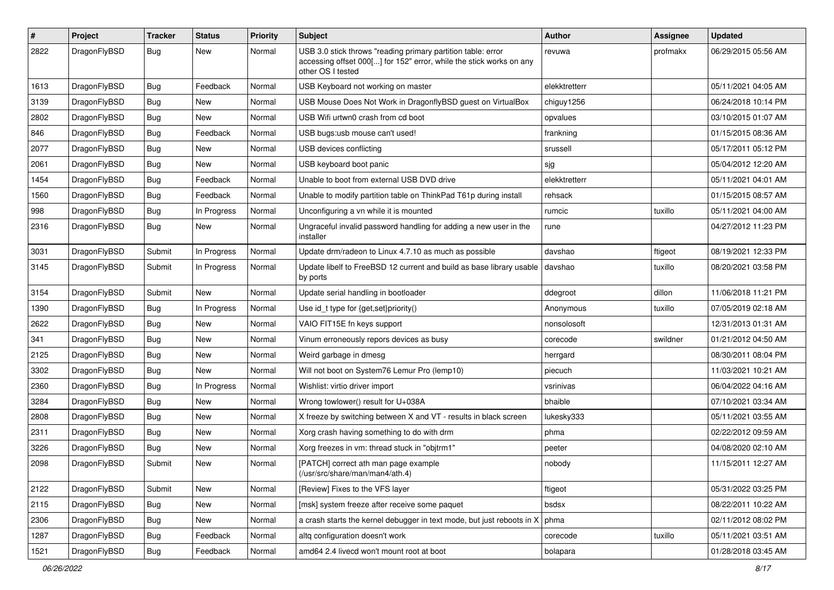| $\pmb{\#}$ | Project      | <b>Tracker</b> | <b>Status</b> | <b>Priority</b> | <b>Subject</b>                                                                                                                                           | Author        | Assignee | <b>Updated</b>      |
|------------|--------------|----------------|---------------|-----------------|----------------------------------------------------------------------------------------------------------------------------------------------------------|---------------|----------|---------------------|
| 2822       | DragonFlyBSD | Bug            | <b>New</b>    | Normal          | USB 3.0 stick throws "reading primary partition table: error<br>accessing offset 000[] for 152" error, while the stick works on any<br>other OS I tested | revuwa        | profmakx | 06/29/2015 05:56 AM |
| 1613       | DragonFlyBSD | <b>Bug</b>     | Feedback      | Normal          | USB Keyboard not working on master                                                                                                                       | elekktretterr |          | 05/11/2021 04:05 AM |
| 3139       | DragonFlyBSD | Bug            | <b>New</b>    | Normal          | USB Mouse Does Not Work in DragonflyBSD guest on VirtualBox                                                                                              | chiguy1256    |          | 06/24/2018 10:14 PM |
| 2802       | DragonFlyBSD | Bug            | New           | Normal          | USB Wifi urtwn0 crash from cd boot                                                                                                                       | opvalues      |          | 03/10/2015 01:07 AM |
| 846        | DragonFlyBSD | <b>Bug</b>     | Feedback      | Normal          | USB bugs:usb mouse can't used!                                                                                                                           | frankning     |          | 01/15/2015 08:36 AM |
| 2077       | DragonFlyBSD | <b>Bug</b>     | New           | Normal          | USB devices conflicting                                                                                                                                  | srussell      |          | 05/17/2011 05:12 PM |
| 2061       | DragonFlyBSD | <b>Bug</b>     | New           | Normal          | USB keyboard boot panic                                                                                                                                  | sjg           |          | 05/04/2012 12:20 AM |
| 1454       | DragonFlyBSD | <b>Bug</b>     | Feedback      | Normal          | Unable to boot from external USB DVD drive                                                                                                               | elekktretterr |          | 05/11/2021 04:01 AM |
| 1560       | DragonFlyBSD | <b>Bug</b>     | Feedback      | Normal          | Unable to modify partition table on ThinkPad T61p during install                                                                                         | rehsack       |          | 01/15/2015 08:57 AM |
| 998        | DragonFlyBSD | <b>Bug</b>     | In Progress   | Normal          | Unconfiguring a vn while it is mounted                                                                                                                   | rumcic        | tuxillo  | 05/11/2021 04:00 AM |
| 2316       | DragonFlyBSD | Bug            | <b>New</b>    | Normal          | Ungraceful invalid password handling for adding a new user in the<br>installer                                                                           | rune          |          | 04/27/2012 11:23 PM |
| 3031       | DragonFlyBSD | Submit         | In Progress   | Normal          | Update drm/radeon to Linux 4.7.10 as much as possible                                                                                                    | davshao       | ftigeot  | 08/19/2021 12:33 PM |
| 3145       | DragonFlyBSD | Submit         | In Progress   | Normal          | Update libelf to FreeBSD 12 current and build as base library usable<br>by ports                                                                         | davshao       | tuxillo  | 08/20/2021 03:58 PM |
| 3154       | DragonFlyBSD | Submit         | <b>New</b>    | Normal          | Update serial handling in bootloader                                                                                                                     | ddegroot      | dillon   | 11/06/2018 11:21 PM |
| 1390       | DragonFlyBSD | Bug            | In Progress   | Normal          | Use id_t type for {get,set}priority()                                                                                                                    | Anonymous     | tuxillo  | 07/05/2019 02:18 AM |
| 2622       | DragonFlyBSD | <b>Bug</b>     | New           | Normal          | VAIO FIT15E fn keys support                                                                                                                              | nonsolosoft   |          | 12/31/2013 01:31 AM |
| 341        | DragonFlyBSD | <b>Bug</b>     | <b>New</b>    | Normal          | Vinum erroneously repors devices as busy                                                                                                                 | corecode      | swildner | 01/21/2012 04:50 AM |
| 2125       | DragonFlyBSD | <b>Bug</b>     | New           | Normal          | Weird garbage in dmesg                                                                                                                                   | herrgard      |          | 08/30/2011 08:04 PM |
| 3302       | DragonFlyBSD | Bug            | New           | Normal          | Will not boot on System76 Lemur Pro (lemp10)                                                                                                             | piecuch       |          | 11/03/2021 10:21 AM |
| 2360       | DragonFlyBSD | <b>Bug</b>     | In Progress   | Normal          | Wishlist: virtio driver import                                                                                                                           | vsrinivas     |          | 06/04/2022 04:16 AM |
| 3284       | DragonFlyBSD | <b>Bug</b>     | New           | Normal          | Wrong towlower() result for U+038A                                                                                                                       | bhaible       |          | 07/10/2021 03:34 AM |
| 2808       | DragonFlyBSD | <b>Bug</b>     | <b>New</b>    | Normal          | X freeze by switching between X and VT - results in black screen                                                                                         | lukesky333    |          | 05/11/2021 03:55 AM |
| 2311       | DragonFlyBSD | <b>Bug</b>     | New           | Normal          | Xorg crash having something to do with drm                                                                                                               | phma          |          | 02/22/2012 09:59 AM |
| 3226       | DragonFlyBSD | <b>Bug</b>     | <b>New</b>    | Normal          | Xorg freezes in vm: thread stuck in "objtrm1"                                                                                                            | peeter        |          | 04/08/2020 02:10 AM |
| 2098       | DragonFlyBSD | Submit         | New           | Normal          | [PATCH] correct ath man page example<br>(/usr/src/share/man/man4/ath.4)                                                                                  | nobody        |          | 11/15/2011 12:27 AM |
| 2122       | DragonFlyBSD | Submit         | New           | Normal          | [Review] Fixes to the VFS layer                                                                                                                          | ftigeot       |          | 05/31/2022 03:25 PM |
| 2115       | DragonFlyBSD | <b>Bug</b>     | New           | Normal          | [msk] system freeze after receive some paquet                                                                                                            | bsdsx         |          | 08/22/2011 10:22 AM |
| 2306       | DragonFlyBSD | <b>Bug</b>     | New           | Normal          | a crash starts the kernel debugger in text mode, but just reboots in X                                                                                   | phma          |          | 02/11/2012 08:02 PM |
| 1287       | DragonFlyBSD | <b>Bug</b>     | Feedback      | Normal          | altq configuration doesn't work                                                                                                                          | corecode      | tuxillo  | 05/11/2021 03:51 AM |
| 1521       | DragonFlyBSD | <b>Bug</b>     | Feedback      | Normal          | amd64 2.4 livecd won't mount root at boot                                                                                                                | bolapara      |          | 01/28/2018 03:45 AM |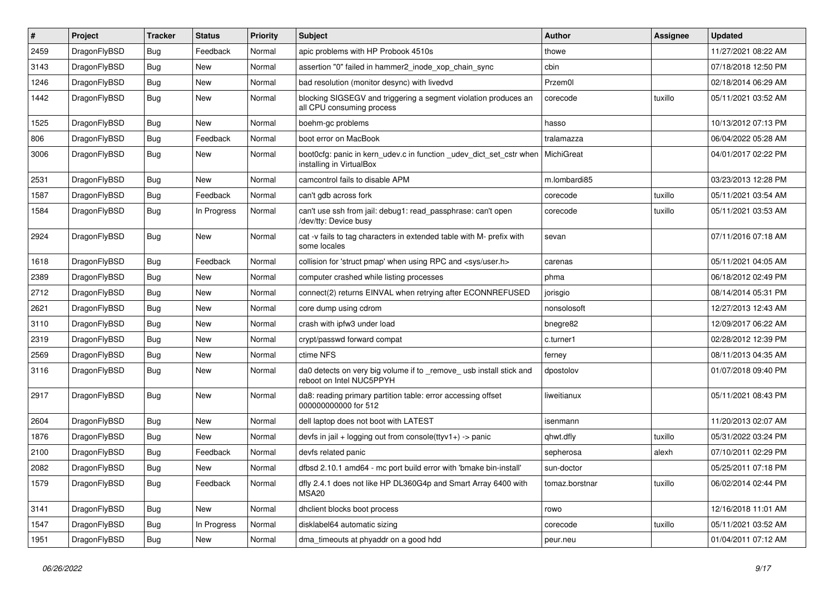| #    | Project      | <b>Tracker</b> | <b>Status</b> | <b>Priority</b> | Subject                                                                                         | <b>Author</b>  | Assignee | <b>Updated</b>      |
|------|--------------|----------------|---------------|-----------------|-------------------------------------------------------------------------------------------------|----------------|----------|---------------------|
| 2459 | DragonFlyBSD | <b>Bug</b>     | Feedback      | Normal          | apic problems with HP Probook 4510s                                                             | thowe          |          | 11/27/2021 08:22 AM |
| 3143 | DragonFlyBSD | <b>Bug</b>     | New           | Normal          | assertion "0" failed in hammer2 inode xop chain sync                                            | cbin           |          | 07/18/2018 12:50 PM |
| 1246 | DragonFlyBSD | <b>Bug</b>     | New           | Normal          | bad resolution (monitor desync) with livedvd                                                    | Przem0l        |          | 02/18/2014 06:29 AM |
| 1442 | DragonFlyBSD | <b>Bug</b>     | New           | Normal          | blocking SIGSEGV and triggering a segment violation produces an<br>all CPU consuming process    | corecode       | tuxillo  | 05/11/2021 03:52 AM |
| 1525 | DragonFlyBSD | Bug            | New           | Normal          | boehm-gc problems                                                                               | hasso          |          | 10/13/2012 07:13 PM |
| 806  | DragonFlyBSD | <b>Bug</b>     | Feedback      | Normal          | boot error on MacBook                                                                           | tralamazza     |          | 06/04/2022 05:28 AM |
| 3006 | DragonFlyBSD | <b>Bug</b>     | New           | Normal          | boot0cfg: panic in kern_udev.c in function _udev_dict_set_cstr when<br>installing in VirtualBox | MichiGreat     |          | 04/01/2017 02:22 PM |
| 2531 | DragonFlyBSD | Bug            | New           | Normal          | camcontrol fails to disable APM                                                                 | m.lombardi85   |          | 03/23/2013 12:28 PM |
| 1587 | DragonFlyBSD | <b>Bug</b>     | Feedback      | Normal          | can't gdb across fork                                                                           | corecode       | tuxillo  | 05/11/2021 03:54 AM |
| 1584 | DragonFlyBSD | <b>Bug</b>     | In Progress   | Normal          | can't use ssh from jail: debug1: read_passphrase: can't open<br>/dev/tty: Device busy           | corecode       | tuxillo  | 05/11/2021 03:53 AM |
| 2924 | DragonFlyBSD | Bug            | New           | Normal          | cat -v fails to tag characters in extended table with M- prefix with<br>some locales            | sevan          |          | 07/11/2016 07:18 AM |
| 1618 | DragonFlyBSD | <b>Bug</b>     | Feedback      | Normal          | collision for 'struct pmap' when using RPC and <sys user.h=""></sys>                            | carenas        |          | 05/11/2021 04:05 AM |
| 2389 | DragonFlyBSD | <b>Bug</b>     | New           | Normal          | computer crashed while listing processes                                                        | phma           |          | 06/18/2012 02:49 PM |
| 2712 | DragonFlyBSD | <b>Bug</b>     | <b>New</b>    | Normal          | connect(2) returns EINVAL when retrying after ECONNREFUSED                                      | jorisgio       |          | 08/14/2014 05:31 PM |
| 2621 | DragonFlyBSD | <b>Bug</b>     | New           | Normal          | core dump using cdrom                                                                           | nonsolosoft    |          | 12/27/2013 12:43 AM |
| 3110 | DragonFlyBSD | <b>Bug</b>     | New           | Normal          | crash with ipfw3 under load                                                                     | bnegre82       |          | 12/09/2017 06:22 AM |
| 2319 | DragonFlyBSD | Bug            | New           | Normal          | crypt/passwd forward compat                                                                     | c.turner1      |          | 02/28/2012 12:39 PM |
| 2569 | DragonFlyBSD | <b>Bug</b>     | New           | Normal          | ctime NFS                                                                                       | ferney         |          | 08/11/2013 04:35 AM |
| 3116 | DragonFlyBSD | <b>Bug</b>     | New           | Normal          | da0 detects on very big volume if to _remove_ usb install stick and<br>reboot on Intel NUC5PPYH | dpostolov      |          | 01/07/2018 09:40 PM |
| 2917 | DragonFlyBSD | Bug            | New           | Normal          | da8: reading primary partition table: error accessing offset<br>000000000000 for 512            | liweitianux    |          | 05/11/2021 08:43 PM |
| 2604 | DragonFlyBSD | Bug            | New           | Normal          | dell laptop does not boot with LATEST                                                           | isenmann       |          | 11/20/2013 02:07 AM |
| 1876 | DragonFlyBSD | <b>Bug</b>     | New           | Normal          | devfs in jail + logging out from console(ttyv1+) -> panic                                       | qhwt.dfly      | tuxillo  | 05/31/2022 03:24 PM |
| 2100 | DragonFlyBSD | Bug            | Feedback      | Normal          | devfs related panic                                                                             | sepherosa      | alexh    | 07/10/2011 02:29 PM |
| 2082 | DragonFlyBSD | <b>Bug</b>     | New           | Normal          | dfbsd 2.10.1 amd 64 - mc port build error with 'bmake bin-install'                              | sun-doctor     |          | 05/25/2011 07:18 PM |
| 1579 | DragonFlyBSD | <b>Bug</b>     | Feedback      | Normal          | dfly 2.4.1 does not like HP DL360G4p and Smart Array 6400 with<br>MSA20                         | tomaz.borstnar | tuxillo  | 06/02/2014 02:44 PM |
| 3141 | DragonFlyBSD | <b>Bug</b>     | New           | Normal          | dhclient blocks boot process                                                                    | rowo           |          | 12/16/2018 11:01 AM |
| 1547 | DragonFlyBSD | Bug            | In Progress   | Normal          | disklabel64 automatic sizing                                                                    | corecode       | tuxillo  | 05/11/2021 03:52 AM |
| 1951 | DragonFlyBSD | <b>Bug</b>     | New           | Normal          | dma timeouts at phyaddr on a good hdd                                                           | peur.neu       |          | 01/04/2011 07:12 AM |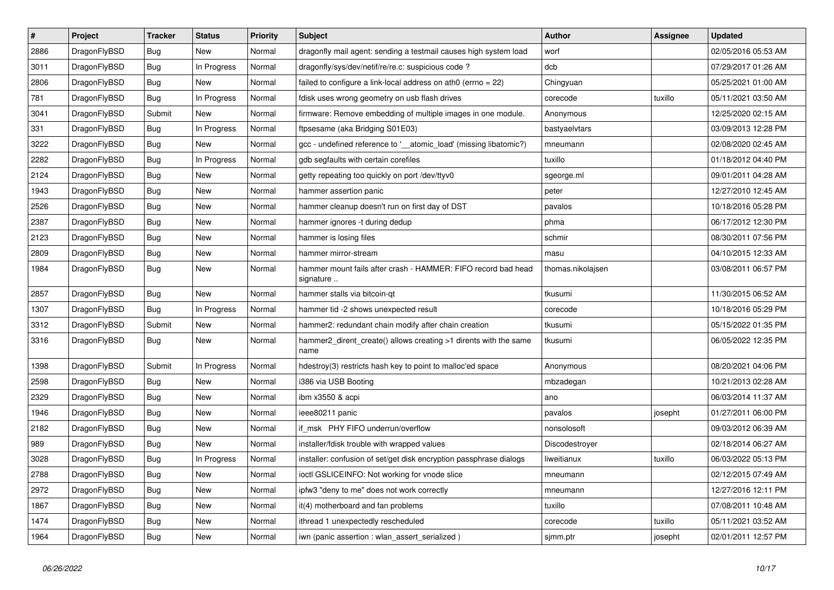| $\vert$ # | Project      | <b>Tracker</b> | <b>Status</b> | <b>Priority</b> | <b>Subject</b>                                                             | Author            | Assignee | <b>Updated</b>      |
|-----------|--------------|----------------|---------------|-----------------|----------------------------------------------------------------------------|-------------------|----------|---------------------|
| 2886      | DragonFlyBSD | <b>Bug</b>     | <b>New</b>    | Normal          | dragonfly mail agent: sending a testmail causes high system load           | worf              |          | 02/05/2016 05:53 AM |
| 3011      | DragonFlyBSD | Bug            | In Progress   | Normal          | dragonfly/sys/dev/netif/re/re.c: suspicious code?                          | dcb               |          | 07/29/2017 01:26 AM |
| 2806      | DragonFlyBSD | <b>Bug</b>     | New           | Normal          | failed to configure a link-local address on ath0 (errno = 22)              | Chingyuan         |          | 05/25/2021 01:00 AM |
| 781       | DragonFlyBSD | Bug            | In Progress   | Normal          | fdisk uses wrong geometry on usb flash drives                              | corecode          | tuxillo  | 05/11/2021 03:50 AM |
| 3041      | DragonFlyBSD | Submit         | New           | Normal          | firmware: Remove embedding of multiple images in one module.               | Anonymous         |          | 12/25/2020 02:15 AM |
| 331       | DragonFlyBSD | Bug            | In Progress   | Normal          | ftpsesame (aka Bridging S01E03)                                            | bastyaelvtars     |          | 03/09/2013 12:28 PM |
| 3222      | DragonFlyBSD | <b>Bug</b>     | New           | Normal          | gcc - undefined reference to ' atomic load' (missing libatomic?)           | mneumann          |          | 02/08/2020 02:45 AM |
| 2282      | DragonFlyBSD | Bug            | In Progress   | Normal          | gdb segfaults with certain corefiles                                       | tuxillo           |          | 01/18/2012 04:40 PM |
| 2124      | DragonFlyBSD | <b>Bug</b>     | New           | Normal          | getty repeating too quickly on port /dev/ttyv0                             | sgeorge.ml        |          | 09/01/2011 04:28 AM |
| 1943      | DragonFlyBSD | <b>Bug</b>     | New           | Normal          | hammer assertion panic                                                     | peter             |          | 12/27/2010 12:45 AM |
| 2526      | DragonFlyBSD | <b>Bug</b>     | <b>New</b>    | Normal          | hammer cleanup doesn't run on first day of DST                             | pavalos           |          | 10/18/2016 05:28 PM |
| 2387      | DragonFlyBSD | Bug            | New           | Normal          | hammer ignores -t during dedup                                             | phma              |          | 06/17/2012 12:30 PM |
| 2123      | DragonFlyBSD | <b>Bug</b>     | New           | Normal          | hammer is losing files                                                     | schmir            |          | 08/30/2011 07:56 PM |
| 2809      | DragonFlyBSD | Bug            | New           | Normal          | hammer mirror-stream                                                       | masu              |          | 04/10/2015 12:33 AM |
| 1984      | DragonFlyBSD | Bug            | New           | Normal          | hammer mount fails after crash - HAMMER: FIFO record bad head<br>signature | thomas.nikolajsen |          | 03/08/2011 06:57 PM |
| 2857      | DragonFlyBSD | <b>Bug</b>     | <b>New</b>    | Normal          | hammer stalls via bitcoin-qt                                               | tkusumi           |          | 11/30/2015 06:52 AM |
| 1307      | DragonFlyBSD | <b>Bug</b>     | In Progress   | Normal          | hammer tid -2 shows unexpected result                                      | corecode          |          | 10/18/2016 05:29 PM |
| 3312      | DragonFlyBSD | Submit         | New           | Normal          | hammer2: redundant chain modify after chain creation                       | tkusumi           |          | 05/15/2022 01:35 PM |
| 3316      | DragonFlyBSD | <b>Bug</b>     | New           | Normal          | hammer2 dirent create() allows creating >1 dirents with the same<br>name   | tkusumi           |          | 06/05/2022 12:35 PM |
| 1398      | DragonFlyBSD | Submit         | In Progress   | Normal          | hdestroy(3) restricts hash key to point to malloc'ed space                 | Anonymous         |          | 08/20/2021 04:06 PM |
| 2598      | DragonFlyBSD | <b>Bug</b>     | <b>New</b>    | Normal          | i386 via USB Booting                                                       | mbzadegan         |          | 10/21/2013 02:28 AM |
| 2329      | DragonFlyBSD | <b>Bug</b>     | <b>New</b>    | Normal          | ibm x3550 & acpi                                                           | ano               |          | 06/03/2014 11:37 AM |
| 1946      | DragonFlyBSD | <b>Bug</b>     | <b>New</b>    | Normal          | ieee80211 panic                                                            | pavalos           | josepht  | 01/27/2011 06:00 PM |
| 2182      | DragonFlyBSD | Bug            | New           | Normal          | if msk PHY FIFO underrun/overflow                                          | nonsolosoft       |          | 09/03/2012 06:39 AM |
| 989       | DragonFlyBSD | <b>Bug</b>     | <b>New</b>    | Normal          | installer/fdisk trouble with wrapped values                                | Discodestroyer    |          | 02/18/2014 06:27 AM |
| 3028      | DragonFlyBSD | <b>Bug</b>     | In Progress   | Normal          | installer: confusion of set/get disk encryption passphrase dialogs         | liweitianux       | tuxillo  | 06/03/2022 05:13 PM |
| 2788      | DragonFlyBSD | <b>Bug</b>     | <b>New</b>    | Normal          | ioctl GSLICEINFO: Not working for vnode slice                              | mneumann          |          | 02/12/2015 07:49 AM |
| 2972      | DragonFlyBSD | <b>Bug</b>     | <b>New</b>    | Normal          | ipfw3 "deny to me" does not work correctly                                 | mneumann          |          | 12/27/2016 12:11 PM |
| 1867      | DragonFlyBSD | Bug            | <b>New</b>    | Normal          | it(4) motherboard and fan problems                                         | tuxillo           |          | 07/08/2011 10:48 AM |
| 1474      | DragonFlyBSD | Bug            | New           | Normal          | ithread 1 unexpectedly rescheduled                                         | corecode          | tuxillo  | 05/11/2021 03:52 AM |
| 1964      | DragonFlyBSD | <b>Bug</b>     | <b>New</b>    | Normal          | iwn (panic assertion : wlan assert serialized)                             | sjmm.ptr          | josepht  | 02/01/2011 12:57 PM |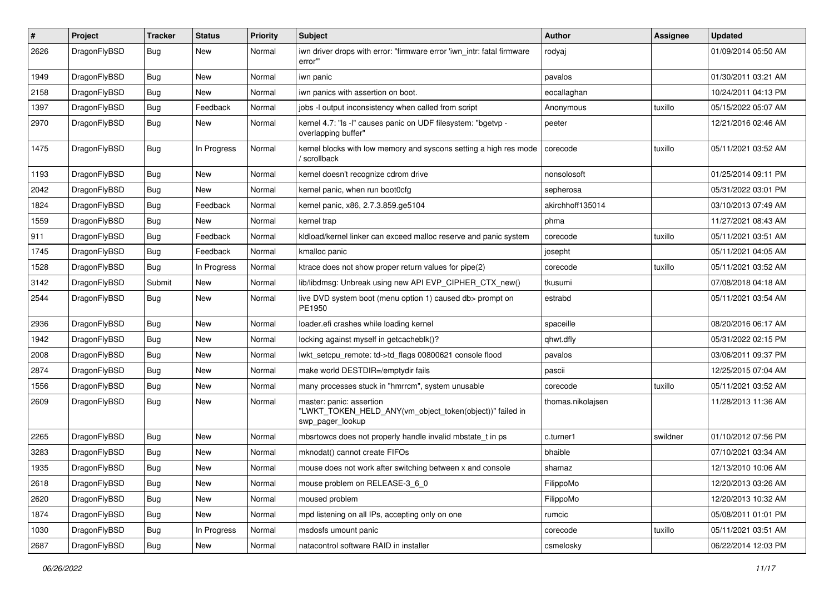| $\#$ | Project      | <b>Tracker</b> | <b>Status</b> | <b>Priority</b> | Subject                                                                                                  | <b>Author</b>     | Assignee | <b>Updated</b>      |
|------|--------------|----------------|---------------|-----------------|----------------------------------------------------------------------------------------------------------|-------------------|----------|---------------------|
| 2626 | DragonFlyBSD | <b>Bug</b>     | <b>New</b>    | Normal          | iwn driver drops with error: "firmware error 'iwn intr: fatal firmware<br>error'"                        | rodyaj            |          | 01/09/2014 05:50 AM |
| 1949 | DragonFlyBSD | <b>Bug</b>     | <b>New</b>    | Normal          | iwn panic                                                                                                | pavalos           |          | 01/30/2011 03:21 AM |
| 2158 | DragonFlyBSD | <b>Bug</b>     | New           | Normal          | iwn panics with assertion on boot.                                                                       | eocallaghan       |          | 10/24/2011 04:13 PM |
| 1397 | DragonFlyBSD | <b>Bug</b>     | Feedback      | Normal          | jobs -I output inconsistency when called from script                                                     | Anonymous         | tuxillo  | 05/15/2022 05:07 AM |
| 2970 | DragonFlyBSD | <b>Bug</b>     | New           | Normal          | kernel 4.7: "Is -I" causes panic on UDF filesystem: "bgetvp -<br>overlapping buffer"                     | peeter            |          | 12/21/2016 02:46 AM |
| 1475 | DragonFlyBSD | Bug            | In Progress   | Normal          | kernel blocks with low memory and syscons setting a high res mode<br>scrollback                          | corecode          | tuxillo  | 05/11/2021 03:52 AM |
| 1193 | DragonFlyBSD | <b>Bug</b>     | <b>New</b>    | Normal          | kernel doesn't recognize cdrom drive                                                                     | nonsolosoft       |          | 01/25/2014 09:11 PM |
| 2042 | DragonFlyBSD | Bug            | <b>New</b>    | Normal          | kernel panic, when run boot0cfg                                                                          | sepherosa         |          | 05/31/2022 03:01 PM |
| 1824 | DragonFlyBSD | <b>Bug</b>     | Feedback      | Normal          | kernel panic, x86, 2.7.3.859.ge5104                                                                      | akirchhoff135014  |          | 03/10/2013 07:49 AM |
| 1559 | DragonFlyBSD | <b>Bug</b>     | <b>New</b>    | Normal          | kernel trap                                                                                              | phma              |          | 11/27/2021 08:43 AM |
| 911  | DragonFlyBSD | <b>Bug</b>     | Feedback      | Normal          | kldload/kernel linker can exceed malloc reserve and panic system                                         | corecode          | tuxillo  | 05/11/2021 03:51 AM |
| 1745 | DragonFlyBSD | <b>Bug</b>     | Feedback      | Normal          | kmalloc panic                                                                                            | josepht           |          | 05/11/2021 04:05 AM |
| 1528 | DragonFlyBSD | <b>Bug</b>     | In Progress   | Normal          | ktrace does not show proper return values for pipe(2)                                                    | corecode          | tuxillo  | 05/11/2021 03:52 AM |
| 3142 | DragonFlyBSD | Submit         | New           | Normal          | lib/libdmsg: Unbreak using new API EVP CIPHER CTX new()                                                  | tkusumi           |          | 07/08/2018 04:18 AM |
| 2544 | DragonFlyBSD | Bug            | <b>New</b>    | Normal          | live DVD system boot (menu option 1) caused db> prompt on<br>PE1950                                      | estrabd           |          | 05/11/2021 03:54 AM |
| 2936 | DragonFlyBSD | <b>Bug</b>     | <b>New</b>    | Normal          | loader.efi crashes while loading kernel                                                                  | spaceille         |          | 08/20/2016 06:17 AM |
| 1942 | DragonFlyBSD | <b>Bug</b>     | <b>New</b>    | Normal          | locking against myself in getcacheblk()?                                                                 | qhwt.dfly         |          | 05/31/2022 02:15 PM |
| 2008 | DragonFlyBSD | <b>Bug</b>     | <b>New</b>    | Normal          | lwkt_setcpu_remote: td->td_flags 00800621 console flood                                                  | pavalos           |          | 03/06/2011 09:37 PM |
| 2874 | DragonFlyBSD | <b>Bug</b>     | <b>New</b>    | Normal          | make world DESTDIR=/emptydir fails                                                                       | pascii            |          | 12/25/2015 07:04 AM |
| 1556 | DragonFlyBSD | <b>Bug</b>     | <b>New</b>    | Normal          | many processes stuck in "hmrrcm", system unusable                                                        | corecode          | tuxillo  | 05/11/2021 03:52 AM |
| 2609 | DragonFlyBSD | <b>Bug</b>     | New           | Normal          | master: panic: assertion<br>"LWKT_TOKEN_HELD_ANY(vm_object_token(object))" failed in<br>swp_pager_lookup | thomas.nikolajsen |          | 11/28/2013 11:36 AM |
| 2265 | DragonFlyBSD | <b>Bug</b>     | New           | Normal          | mbsrtowcs does not properly handle invalid mbstate_t in ps                                               | c.turner1         | swildner | 01/10/2012 07:56 PM |
| 3283 | DragonFlyBSD | <b>Bug</b>     | <b>New</b>    | Normal          | mknodat() cannot create FIFOs                                                                            | bhaible           |          | 07/10/2021 03:34 AM |
| 1935 | DragonFlyBSD | Bug            | New           | Normal          | mouse does not work after switching between x and console                                                | shamaz            |          | 12/13/2010 10:06 AM |
| 2618 | DragonFlyBSD | <b>Bug</b>     | New           | Normal          | mouse problem on RELEASE-3_6_0                                                                           | FilippoMo         |          | 12/20/2013 03:26 AM |
| 2620 | DragonFlyBSD | <b>Bug</b>     | New           | Normal          | moused problem                                                                                           | FilippoMo         |          | 12/20/2013 10:32 AM |
| 1874 | DragonFlyBSD | <b>Bug</b>     | New           | Normal          | mpd listening on all IPs, accepting only on one                                                          | rumcic            |          | 05/08/2011 01:01 PM |
| 1030 | DragonFlyBSD | <b>Bug</b>     | In Progress   | Normal          | msdosfs umount panic                                                                                     | corecode          | tuxillo  | 05/11/2021 03:51 AM |
| 2687 | DragonFlyBSD | <b>Bug</b>     | New           | Normal          | natacontrol software RAID in installer                                                                   | csmelosky         |          | 06/22/2014 12:03 PM |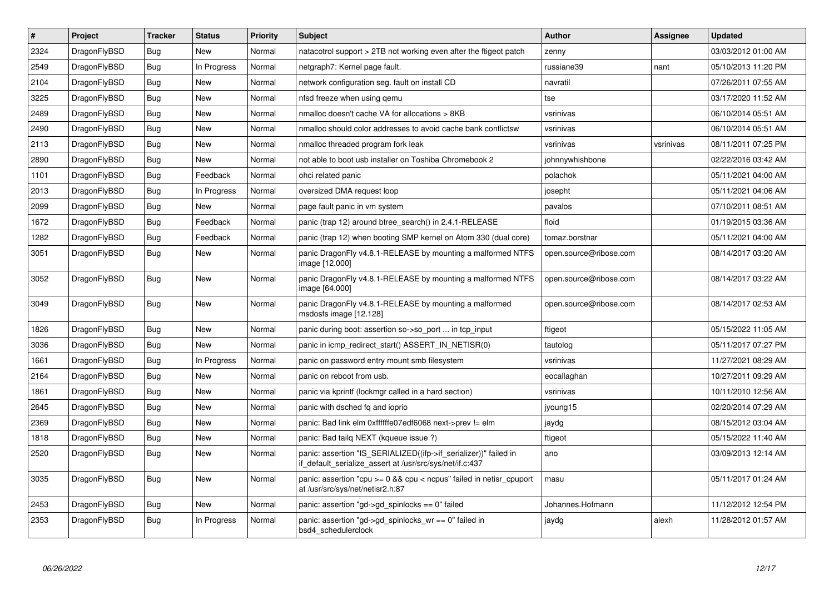| $\vert$ # | Project      | <b>Tracker</b> | <b>Status</b> | Priority | <b>Subject</b>                                                                                                               | Author                 | Assignee  | <b>Updated</b>      |
|-----------|--------------|----------------|---------------|----------|------------------------------------------------------------------------------------------------------------------------------|------------------------|-----------|---------------------|
| 2324      | DragonFlyBSD | <b>Bug</b>     | <b>New</b>    | Normal   | natacotrol support > 2TB not working even after the ftigeot patch                                                            | zenny                  |           | 03/03/2012 01:00 AM |
| 2549      | DragonFlyBSD | <b>Bug</b>     | In Progress   | Normal   | netgraph7: Kernel page fault.                                                                                                | russiane39             | nant      | 05/10/2013 11:20 PM |
| 2104      | DragonFlyBSD | <b>Bug</b>     | <b>New</b>    | Normal   | network configuration seg. fault on install CD                                                                               | navratil               |           | 07/26/2011 07:55 AM |
| 3225      | DragonFlyBSD | Bug            | New           | Normal   | nfsd freeze when using qemu                                                                                                  | tse                    |           | 03/17/2020 11:52 AM |
| 2489      | DragonFlyBSD | <b>Bug</b>     | <b>New</b>    | Normal   | nmalloc doesn't cache VA for allocations > 8KB                                                                               | vsrinivas              |           | 06/10/2014 05:51 AM |
| 2490      | DragonFlyBSD | <b>Bug</b>     | <b>New</b>    | Normal   | nmalloc should color addresses to avoid cache bank conflictsw                                                                | vsrinivas              |           | 06/10/2014 05:51 AM |
| 2113      | DragonFlyBSD | Bug            | <b>New</b>    | Normal   | nmalloc threaded program fork leak                                                                                           | vsrinivas              | vsrinivas | 08/11/2011 07:25 PM |
| 2890      | DragonFlyBSD | <b>Bug</b>     | New           | Normal   | not able to boot usb installer on Toshiba Chromebook 2                                                                       | johnnywhishbone        |           | 02/22/2016 03:42 AM |
| 1101      | DragonFlyBSD | Bug            | Feedback      | Normal   | ohci related panic                                                                                                           | polachok               |           | 05/11/2021 04:00 AM |
| 2013      | DragonFlyBSD | <b>Bug</b>     | In Progress   | Normal   | oversized DMA request loop                                                                                                   | josepht                |           | 05/11/2021 04:06 AM |
| 2099      | DragonFlyBSD | Bug            | New           | Normal   | page fault panic in vm system                                                                                                | pavalos                |           | 07/10/2011 08:51 AM |
| 1672      | DragonFlyBSD | <b>Bug</b>     | Feedback      | Normal   | panic (trap 12) around btree search() in 2.4.1-RELEASE                                                                       | floid                  |           | 01/19/2015 03:36 AM |
| 1282      | DragonFlyBSD | Bug            | Feedback      | Normal   | panic (trap 12) when booting SMP kernel on Atom 330 (dual core)                                                              | tomaz.borstnar         |           | 05/11/2021 04:00 AM |
| 3051      | DragonFlyBSD | <b>Bug</b>     | <b>New</b>    | Normal   | panic DragonFly v4.8.1-RELEASE by mounting a malformed NTFS<br>image [12.000]                                                | open.source@ribose.com |           | 08/14/2017 03:20 AM |
| 3052      | DragonFlyBSD | <b>Bug</b>     | <b>New</b>    | Normal   | panic DragonFly v4.8.1-RELEASE by mounting a malformed NTFS<br>image [64.000]                                                | open.source@ribose.com |           | 08/14/2017 03:22 AM |
| 3049      | DragonFlyBSD | Bug            | New           | Normal   | panic DragonFly v4.8.1-RELEASE by mounting a malformed<br>msdosfs image [12.128]                                             | open.source@ribose.com |           | 08/14/2017 02:53 AM |
| 1826      | DragonFlyBSD | <b>Bug</b>     | New           | Normal   | panic during boot: assertion so->so port  in tcp input                                                                       | ftigeot                |           | 05/15/2022 11:05 AM |
| 3036      | DragonFlyBSD | <b>Bug</b>     | <b>New</b>    | Normal   | panic in icmp_redirect_start() ASSERT_IN_NETISR(0)                                                                           | tautolog               |           | 05/11/2017 07:27 PM |
| 1661      | DragonFlyBSD | Bug            | In Progress   | Normal   | panic on password entry mount smb filesystem                                                                                 | vsrinivas              |           | 11/27/2021 08:29 AM |
| 2164      | DragonFlyBSD | <b>Bug</b>     | <b>New</b>    | Normal   | panic on reboot from usb.                                                                                                    | eocallaghan            |           | 10/27/2011 09:29 AM |
| 1861      | DragonFlyBSD | Bug            | New           | Normal   | panic via kprintf (lockmgr called in a hard section)                                                                         | vsrinivas              |           | 10/11/2010 12:56 AM |
| 2645      | DragonFlyBSD | <b>Bug</b>     | <b>New</b>    | Normal   | panic with dsched fq and ioprio                                                                                              | jyoung15               |           | 02/20/2014 07:29 AM |
| 2369      | DragonFlyBSD | Bug            | <b>New</b>    | Normal   | panic: Bad link elm 0xffffffe07edf6068 next->prev != elm                                                                     | jaydg                  |           | 08/15/2012 03:04 AM |
| 1818      | DragonFlyBSD | <b>Bug</b>     | <b>New</b>    | Normal   | panic: Bad tailg NEXT (kqueue issue ?)                                                                                       | ftigeot                |           | 05/15/2022 11:40 AM |
| 2520      | DragonFlyBSD | <b>Bug</b>     | New           | Normal   | panic: assertion "IS_SERIALIZED((ifp->if_serializer))" failed in<br>if default serialize assert at /usr/src/sys/net/if.c:437 | ano                    |           | 03/09/2013 12:14 AM |
| 3035      | DragonFlyBSD | Bug            | <b>New</b>    | Normal   | panic: assertion "cpu >= 0 && cpu < ncpus" failed in netisr_cpuport<br>at /usr/src/sys/net/netisr2.h:87                      | masu                   |           | 05/11/2017 01:24 AM |
| 2453      | DragonFlyBSD | <b>Bug</b>     | New           | Normal   | panic: assertion "gd->gd_spinlocks == 0" failed                                                                              | Johannes.Hofmann       |           | 11/12/2012 12:54 PM |
| 2353      | DragonFlyBSD | Bug            | In Progress   | Normal   | panic: assertion "gd->gd spinlocks $wr == 0$ " failed in<br>bsd4 schedulerclock                                              | jaydg                  | alexh     | 11/28/2012 01:57 AM |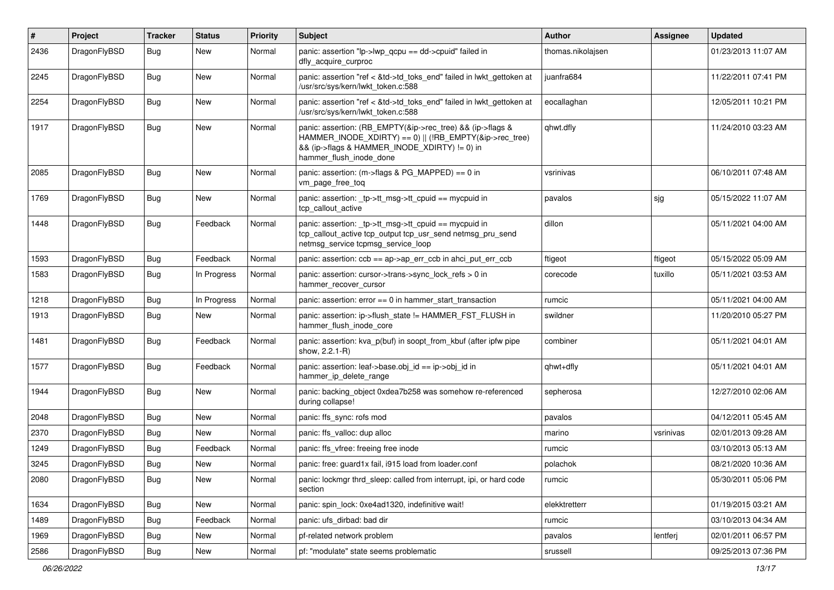| $\vert$ # | Project      | Tracker    | <b>Status</b> | <b>Priority</b> | Subject                                                                                                                                                                                           | Author            | Assignee  | <b>Updated</b>      |
|-----------|--------------|------------|---------------|-----------------|---------------------------------------------------------------------------------------------------------------------------------------------------------------------------------------------------|-------------------|-----------|---------------------|
| 2436      | DragonFlyBSD | Bug        | New           | Normal          | panic: assertion "lp->lwp_qcpu == dd->cpuid" failed in<br>dfly_acquire_curproc                                                                                                                    | thomas.nikolajsen |           | 01/23/2013 11:07 AM |
| 2245      | DragonFlyBSD | Bug        | New           | Normal          | panic: assertion "ref < &td->td_toks_end" failed in lwkt_gettoken at<br>/usr/src/sys/kern/lwkt token.c:588                                                                                        | juanfra684        |           | 11/22/2011 07:41 PM |
| 2254      | DragonFlyBSD | Bug        | New           | Normal          | panic: assertion "ref < &td->td_toks_end" failed in lwkt_gettoken at<br>/usr/src/sys/kern/lwkt_token.c:588                                                                                        | eocallaghan       |           | 12/05/2011 10:21 PM |
| 1917      | DragonFlyBSD | Bug        | New           | Normal          | panic: assertion: (RB_EMPTY(&ip->rec_tree) && (ip->flags &<br>HAMMER_INODE_XDIRTY) == 0)    (!RB_EMPTY(&ip->rec_tree)<br>&& (ip->flags & HAMMER_INODE_XDIRTY) != 0) in<br>hammer_flush_inode_done | qhwt.dfly         |           | 11/24/2010 03:23 AM |
| 2085      | DragonFlyBSD | Bug        | New           | Normal          | panic: assertion: (m->flags & PG_MAPPED) == 0 in<br>vm_page_free_toq                                                                                                                              | vsrinivas         |           | 06/10/2011 07:48 AM |
| 1769      | DragonFlyBSD | Bug        | New           | Normal          | panic: assertion: _tp->tt_msg->tt_cpuid == mycpuid in<br>tcp callout active                                                                                                                       | pavalos           | sjg       | 05/15/2022 11:07 AM |
| 1448      | DragonFlyBSD | Bug        | Feedback      | Normal          | panic: assertion: _tp->tt_msg->tt_cpuid == mycpuid in<br>tcp_callout_active tcp_output tcp_usr_send netmsg_pru_send<br>netmsg_service tcpmsg_service_loop                                         | dillon            |           | 05/11/2021 04:00 AM |
| 1593      | DragonFlyBSD | Bug        | Feedback      | Normal          | panic: assertion: $ccb == ap > ap$ err $ccb$ in ahci put err $ccb$                                                                                                                                | ftigeot           | ftigeot   | 05/15/2022 05:09 AM |
| 1583      | DragonFlyBSD | <b>Bug</b> | In Progress   | Normal          | panic: assertion: cursor->trans->sync_lock_refs > 0 in<br>hammer_recover_cursor                                                                                                                   | corecode          | tuxillo   | 05/11/2021 03:53 AM |
| 1218      | DragonFlyBSD | Bug        | In Progress   | Normal          | panic: assertion: error == 0 in hammer_start_transaction                                                                                                                                          | rumcic            |           | 05/11/2021 04:00 AM |
| 1913      | DragonFlyBSD | <b>Bug</b> | New           | Normal          | panic: assertion: ip->flush_state != HAMMER_FST_FLUSH in<br>hammer_flush_inode_core                                                                                                               | swildner          |           | 11/20/2010 05:27 PM |
| 1481      | DragonFlyBSD | <b>Bug</b> | Feedback      | Normal          | panic: assertion: kva_p(buf) in soopt_from_kbuf (after ipfw pipe<br>show, 2.2.1-R)                                                                                                                | combiner          |           | 05/11/2021 04:01 AM |
| 1577      | DragonFlyBSD | Bug        | Feedback      | Normal          | panic: assertion: leaf->base.obj_id == ip->obj_id in<br>hammer ip delete range                                                                                                                    | qhwt+dfly         |           | 05/11/2021 04:01 AM |
| 1944      | DragonFlyBSD | Bug        | New           | Normal          | panic: backing object 0xdea7b258 was somehow re-referenced<br>during collapse!                                                                                                                    | sepherosa         |           | 12/27/2010 02:06 AM |
| 2048      | DragonFlyBSD | <b>Bug</b> | <b>New</b>    | Normal          | panic: ffs_sync: rofs mod                                                                                                                                                                         | pavalos           |           | 04/12/2011 05:45 AM |
| 2370      | DragonFlyBSD | <b>Bug</b> | New           | Normal          | panic: ffs valloc: dup alloc                                                                                                                                                                      | marino            | vsrinivas | 02/01/2013 09:28 AM |
| 1249      | DragonFlyBSD | <b>Bug</b> | Feedback      | Normal          | panic: ffs vfree: freeing free inode                                                                                                                                                              | rumcic            |           | 03/10/2013 05:13 AM |
| 3245      | DragonFlyBSD | <b>Bug</b> | New           | Normal          | panic: free: guard1x fail, i915 load from loader.conf                                                                                                                                             | polachok          |           | 08/21/2020 10:36 AM |
| 2080      | DragonFlyBSD | <b>Bug</b> | New           | Normal          | panic: lockmgr thrd_sleep: called from interrupt, ipi, or hard code<br>section                                                                                                                    | rumcic            |           | 05/30/2011 05:06 PM |
| 1634      | DragonFlyBSD | Bug        | New           | Normal          | panic: spin lock: 0xe4ad1320, indefinitive wait!                                                                                                                                                  | elekktretterr     |           | 01/19/2015 03:21 AM |
| 1489      | DragonFlyBSD | <b>Bug</b> | Feedback      | Normal          | panic: ufs dirbad: bad dir                                                                                                                                                                        | rumcic            |           | 03/10/2013 04:34 AM |
| 1969      | DragonFlyBSD | <b>Bug</b> | New           | Normal          | pf-related network problem                                                                                                                                                                        | pavalos           | lentferj  | 02/01/2011 06:57 PM |
| 2586      | DragonFlyBSD | <b>Bug</b> | New           | Normal          | pf: "modulate" state seems problematic                                                                                                                                                            | srussell          |           | 09/25/2013 07:36 PM |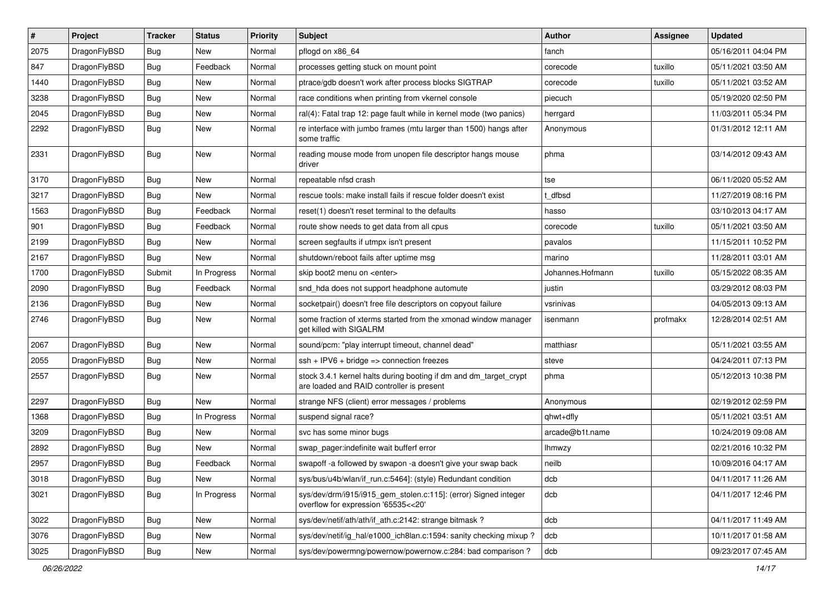| $\vert$ # | Project      | <b>Tracker</b> | <b>Status</b> | <b>Priority</b> | Subject                                                                                                        | <b>Author</b>    | <b>Assignee</b> | <b>Updated</b>      |
|-----------|--------------|----------------|---------------|-----------------|----------------------------------------------------------------------------------------------------------------|------------------|-----------------|---------------------|
| 2075      | DragonFlyBSD | Bug            | New           | Normal          | pflogd on x86_64                                                                                               | fanch            |                 | 05/16/2011 04:04 PM |
| 847       | DragonFlyBSD | Bug            | Feedback      | Normal          | processes getting stuck on mount point                                                                         | corecode         | tuxillo         | 05/11/2021 03:50 AM |
| 1440      | DragonFlyBSD | <b>Bug</b>     | <b>New</b>    | Normal          | ptrace/gdb doesn't work after process blocks SIGTRAP                                                           | corecode         | tuxillo         | 05/11/2021 03:52 AM |
| 3238      | DragonFlyBSD | Bug            | <b>New</b>    | Normal          | race conditions when printing from vkernel console                                                             | piecuch          |                 | 05/19/2020 02:50 PM |
| 2045      | DragonFlyBSD | <b>Bug</b>     | <b>New</b>    | Normal          | ral(4): Fatal trap 12: page fault while in kernel mode (two panics)                                            | herrgard         |                 | 11/03/2011 05:34 PM |
| 2292      | DragonFlyBSD | <b>Bug</b>     | New           | Normal          | re interface with jumbo frames (mtu larger than 1500) hangs after<br>some traffic                              | Anonymous        |                 | 01/31/2012 12:11 AM |
| 2331      | DragonFlyBSD | <b>Bug</b>     | New           | Normal          | reading mouse mode from unopen file descriptor hangs mouse<br>driver                                           | phma             |                 | 03/14/2012 09:43 AM |
| 3170      | DragonFlyBSD | Bug            | <b>New</b>    | Normal          | repeatable nfsd crash                                                                                          | tse              |                 | 06/11/2020 05:52 AM |
| 3217      | DragonFlyBSD | <b>Bug</b>     | <b>New</b>    | Normal          | rescue tools: make install fails if rescue folder doesn't exist                                                | dfbsd            |                 | 11/27/2019 08:16 PM |
| 1563      | DragonFlyBSD | <b>Bug</b>     | Feedback      | Normal          | reset(1) doesn't reset terminal to the defaults                                                                | hasso            |                 | 03/10/2013 04:17 AM |
| 901       | DragonFlyBSD | <b>Bug</b>     | Feedback      | Normal          | route show needs to get data from all cpus                                                                     | corecode         | tuxillo         | 05/11/2021 03:50 AM |
| 2199      | DragonFlyBSD | <b>Bug</b>     | New           | Normal          | screen segfaults if utmpx isn't present                                                                        | pavalos          |                 | 11/15/2011 10:52 PM |
| 2167      | DragonFlyBSD | Bug            | <b>New</b>    | Normal          | shutdown/reboot fails after uptime msg                                                                         | marino           |                 | 11/28/2011 03:01 AM |
| 1700      | DragonFlyBSD | Submit         | In Progress   | Normal          | skip boot2 menu on <enter></enter>                                                                             | Johannes.Hofmann | tuxillo         | 05/15/2022 08:35 AM |
| 2090      | DragonFlyBSD | Bug            | Feedback      | Normal          | snd_hda does not support headphone automute                                                                    | justin           |                 | 03/29/2012 08:03 PM |
| 2136      | DragonFlyBSD | Bug            | <b>New</b>    | Normal          | socketpair() doesn't free file descriptors on copyout failure                                                  | vsrinivas        |                 | 04/05/2013 09:13 AM |
| 2746      | DragonFlyBSD | <b>Bug</b>     | <b>New</b>    | Normal          | some fraction of xterms started from the xmonad window manager<br>get killed with SIGALRM                      | isenmann         | profmakx        | 12/28/2014 02:51 AM |
| 2067      | DragonFlyBSD | <b>Bug</b>     | <b>New</b>    | Normal          | sound/pcm: "play interrupt timeout, channel dead"                                                              | matthiasr        |                 | 05/11/2021 03:55 AM |
| 2055      | DragonFlyBSD | <b>Bug</b>     | <b>New</b>    | Normal          | $ssh + IPV6 + bridge \Rightarrow$ connection freezes                                                           | steve            |                 | 04/24/2011 07:13 PM |
| 2557      | DragonFlyBSD | <b>Bug</b>     | <b>New</b>    | Normal          | stock 3.4.1 kernel halts during booting if dm and dm_target_crypt<br>are loaded and RAID controller is present | phma             |                 | 05/12/2013 10:38 PM |
| 2297      | DragonFlyBSD | <b>Bug</b>     | <b>New</b>    | Normal          | strange NFS (client) error messages / problems                                                                 | Anonymous        |                 | 02/19/2012 02:59 PM |
| 1368      | DragonFlyBSD | <b>Bug</b>     | In Progress   | Normal          | suspend signal race?                                                                                           | qhwt+dfly        |                 | 05/11/2021 03:51 AM |
| 3209      | DragonFlyBSD | Bug            | <b>New</b>    | Normal          | svc has some minor bugs                                                                                        | arcade@b1t.name  |                 | 10/24/2019 09:08 AM |
| 2892      | DragonFlyBSD | Bug            | <b>New</b>    | Normal          | swap pager:indefinite wait bufferf error                                                                       | lhmwzy           |                 | 02/21/2016 10:32 PM |
| 2957      | DragonFlyBSD | Bug            | Feedback      | Normal          | swapoff -a followed by swapon -a doesn't give your swap back                                                   | neilb            |                 | 10/09/2016 04:17 AM |
| 3018      | DragonFlyBSD | Bug            | New           | Normal          | sys/bus/u4b/wlan/if_run.c:5464]: (style) Redundant condition                                                   | dcb              |                 | 04/11/2017 11:26 AM |
| 3021      | DragonFlyBSD | <b>Bug</b>     | In Progress   | Normal          | sys/dev/drm/i915/i915_gem_stolen.c:115]: (error) Signed integer<br>overflow for expression '65535<<20'         | dcb              |                 | 04/11/2017 12:46 PM |
| 3022      | DragonFlyBSD | <b>Bug</b>     | New           | Normal          | sys/dev/netif/ath/ath/if_ath.c:2142: strange bitmask?                                                          | dcb              |                 | 04/11/2017 11:49 AM |
| 3076      | DragonFlyBSD | <b>Bug</b>     | New           | Normal          | sys/dev/netif/ig_hal/e1000_ich8lan.c:1594: sanity checking mixup?                                              | dcb              |                 | 10/11/2017 01:58 AM |
| 3025      | DragonFlyBSD | Bug            | New           | Normal          | sys/dev/powermng/powernow/powernow.c:284: bad comparison?                                                      | dcb              |                 | 09/23/2017 07:45 AM |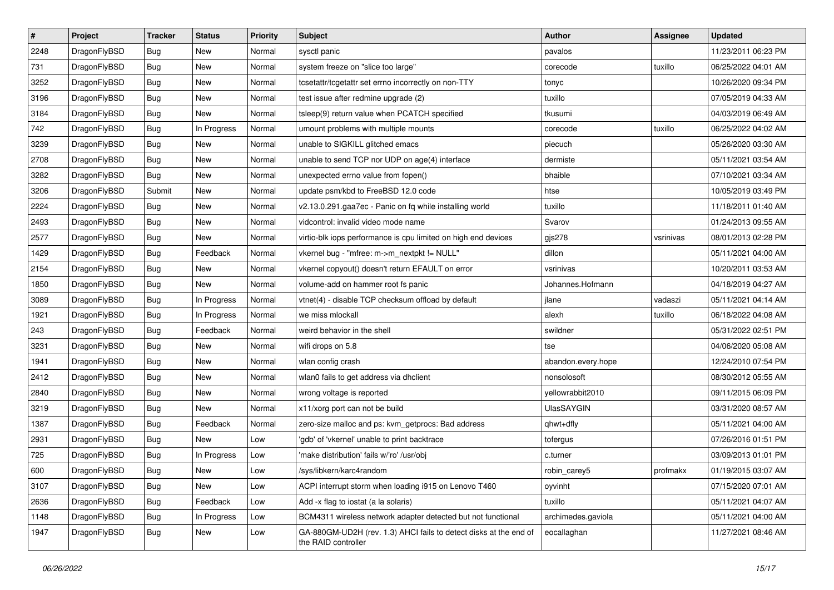| $\sharp$ | Project      | <b>Tracker</b> | <b>Status</b> | <b>Priority</b> | Subject                                                                                  | Author             | Assignee  | <b>Updated</b>      |
|----------|--------------|----------------|---------------|-----------------|------------------------------------------------------------------------------------------|--------------------|-----------|---------------------|
| 2248     | DragonFlyBSD | <b>Bug</b>     | <b>New</b>    | Normal          | sysctl panic                                                                             | pavalos            |           | 11/23/2011 06:23 PM |
| 731      | DragonFlyBSD | Bug            | <b>New</b>    | Normal          | system freeze on "slice too large"                                                       | corecode           | tuxillo   | 06/25/2022 04:01 AM |
| 3252     | DragonFlyBSD | <b>Bug</b>     | <b>New</b>    | Normal          | tcsetattr/tcgetattr set errno incorrectly on non-TTY                                     | tonyc              |           | 10/26/2020 09:34 PM |
| 3196     | DragonFlyBSD | <b>Bug</b>     | <b>New</b>    | Normal          | test issue after redmine upgrade (2)                                                     | tuxillo            |           | 07/05/2019 04:33 AM |
| 3184     | DragonFlyBSD | Bug            | <b>New</b>    | Normal          | tsleep(9) return value when PCATCH specified                                             | tkusumi            |           | 04/03/2019 06:49 AM |
| 742      | DragonFlyBSD | <b>Bug</b>     | In Progress   | Normal          | umount problems with multiple mounts                                                     | corecode           | tuxillo   | 06/25/2022 04:02 AM |
| 3239     | DragonFlyBSD | <b>Bug</b>     | New           | Normal          | unable to SIGKILL glitched emacs                                                         | piecuch            |           | 05/26/2020 03:30 AM |
| 2708     | DragonFlyBSD | <b>Bug</b>     | <b>New</b>    | Normal          | unable to send TCP nor UDP on age(4) interface                                           | dermiste           |           | 05/11/2021 03:54 AM |
| 3282     | DragonFlyBSD | <b>Bug</b>     | <b>New</b>    | Normal          | unexpected errno value from fopen()                                                      | bhaible            |           | 07/10/2021 03:34 AM |
| 3206     | DragonFlyBSD | Submit         | New           | Normal          | update psm/kbd to FreeBSD 12.0 code                                                      | htse               |           | 10/05/2019 03:49 PM |
| 2224     | DragonFlyBSD | <b>Bug</b>     | New           | Normal          | v2.13.0.291.gaa7ec - Panic on fq while installing world                                  | tuxillo            |           | 11/18/2011 01:40 AM |
| 2493     | DragonFlyBSD | <b>Bug</b>     | <b>New</b>    | Normal          | vidcontrol: invalid video mode name                                                      | Svarov             |           | 01/24/2013 09:55 AM |
| 2577     | DragonFlyBSD | Bug            | New           | Normal          | virtio-blk iops performance is cpu limited on high end devices                           | $g$ js $278$       | vsrinivas | 08/01/2013 02:28 PM |
| 1429     | DragonFlyBSD | <b>Bug</b>     | Feedback      | Normal          | vkernel bug - "mfree: m->m_nextpkt != NULL"                                              | dillon             |           | 05/11/2021 04:00 AM |
| 2154     | DragonFlyBSD | <b>Bug</b>     | New           | Normal          | vkernel copyout() doesn't return EFAULT on error                                         | vsrinivas          |           | 10/20/2011 03:53 AM |
| 1850     | DragonFlyBSD | <b>Bug</b>     | New           | Normal          | volume-add on hammer root fs panic                                                       | Johannes.Hofmann   |           | 04/18/2019 04:27 AM |
| 3089     | DragonFlyBSD | <b>Bug</b>     | In Progress   | Normal          | vtnet(4) - disable TCP checksum offload by default                                       | jlane              | vadaszi   | 05/11/2021 04:14 AM |
| 1921     | DragonFlyBSD | <b>Bug</b>     | In Progress   | Normal          | we miss mlockall                                                                         | alexh              | tuxillo   | 06/18/2022 04:08 AM |
| 243      | DragonFlyBSD | <b>Bug</b>     | Feedback      | Normal          | weird behavior in the shell                                                              | swildner           |           | 05/31/2022 02:51 PM |
| 3231     | DragonFlyBSD | Bug            | New           | Normal          | wifi drops on 5.8                                                                        | tse                |           | 04/06/2020 05:08 AM |
| 1941     | DragonFlyBSD | <b>Bug</b>     | <b>New</b>    | Normal          | wlan config crash                                                                        | abandon.every.hope |           | 12/24/2010 07:54 PM |
| 2412     | DragonFlyBSD | <b>Bug</b>     | New           | Normal          | wlan0 fails to get address via dhclient                                                  | nonsolosoft        |           | 08/30/2012 05:55 AM |
| 2840     | DragonFlyBSD | Bug            | <b>New</b>    | Normal          | wrong voltage is reported                                                                | yellowrabbit2010   |           | 09/11/2015 06:09 PM |
| 3219     | DragonFlyBSD | <b>Bug</b>     | New           | Normal          | x11/xorg port can not be build                                                           | <b>UlasSAYGIN</b>  |           | 03/31/2020 08:57 AM |
| 1387     | DragonFlyBSD | <b>Bug</b>     | Feedback      | Normal          | zero-size malloc and ps: kvm_getprocs: Bad address                                       | qhwt+dfly          |           | 05/11/2021 04:00 AM |
| 2931     | DragonFlyBSD | <b>Bug</b>     | New           | Low             | 'gdb' of 'vkernel' unable to print backtrace                                             | tofergus           |           | 07/26/2016 01:51 PM |
| 725      | DragonFlyBSD | <b>Bug</b>     | In Progress   | Low             | 'make distribution' fails w/'ro' /usr/obj                                                | c.turner           |           | 03/09/2013 01:01 PM |
| 600      | DragonFlyBSD | <b>Bug</b>     | New           | Low             | /sys/libkern/karc4random                                                                 | robin_carey5       | profmakx  | 01/19/2015 03:07 AM |
| 3107     | DragonFlyBSD | <b>Bug</b>     | New           | Low             | ACPI interrupt storm when loading i915 on Lenovo T460                                    | oyvinht            |           | 07/15/2020 07:01 AM |
| 2636     | DragonFlyBSD | Bug            | Feedback      | Low             | Add -x flag to iostat (a la solaris)                                                     | tuxillo            |           | 05/11/2021 04:07 AM |
| 1148     | DragonFlyBSD | <b>Bug</b>     | In Progress   | Low             | BCM4311 wireless network adapter detected but not functional                             | archimedes.gaviola |           | 05/11/2021 04:00 AM |
| 1947     | DragonFlyBSD | <b>Bug</b>     | New           | Low             | GA-880GM-UD2H (rev. 1.3) AHCI fails to detect disks at the end of<br>the RAID controller | eocallaghan        |           | 11/27/2021 08:46 AM |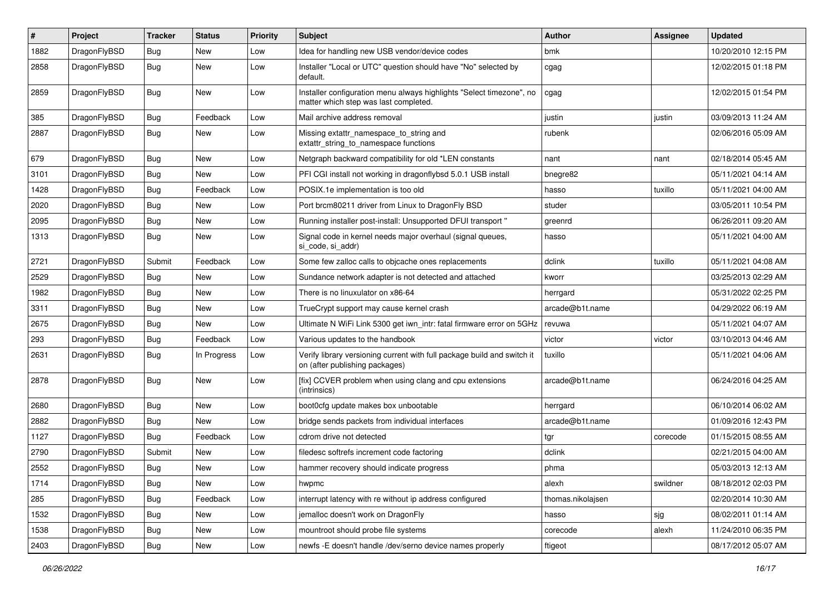| $\pmb{\#}$ | Project      | <b>Tracker</b> | <b>Status</b> | <b>Priority</b> | Subject                                                                                                       | Author            | Assignee | <b>Updated</b>      |
|------------|--------------|----------------|---------------|-----------------|---------------------------------------------------------------------------------------------------------------|-------------------|----------|---------------------|
| 1882       | DragonFlyBSD | Bug            | <b>New</b>    | Low             | Idea for handling new USB vendor/device codes                                                                 | bmk               |          | 10/20/2010 12:15 PM |
| 2858       | DragonFlyBSD | <b>Bug</b>     | New           | Low             | Installer "Local or UTC" question should have "No" selected by<br>default.                                    | cgag              |          | 12/02/2015 01:18 PM |
| 2859       | DragonFlyBSD | Bug            | New           | Low             | Installer configuration menu always highlights "Select timezone", no<br>matter which step was last completed. | cgag              |          | 12/02/2015 01:54 PM |
| 385        | DragonFlyBSD | <b>Bug</b>     | Feedback      | Low             | Mail archive address removal                                                                                  | iustin            | justin   | 03/09/2013 11:24 AM |
| 2887       | DragonFlyBSD | Bug            | New           | Low             | Missing extattr_namespace_to_string and<br>extattr_string_to_namespace functions                              | rubenk            |          | 02/06/2016 05:09 AM |
| 679        | DragonFlyBSD | Bug            | <b>New</b>    | Low             | Netgraph backward compatibility for old *LEN constants                                                        | nant              | nant     | 02/18/2014 05:45 AM |
| 3101       | DragonFlyBSD | Bug            | <b>New</b>    | Low             | PFI CGI install not working in dragonflybsd 5.0.1 USB install                                                 | bnegre82          |          | 05/11/2021 04:14 AM |
| 1428       | DragonFlyBSD | Bug            | Feedback      | Low             | POSIX.1e implementation is too old                                                                            | hasso             | tuxillo  | 05/11/2021 04:00 AM |
| 2020       | DragonFlyBSD | Bug            | New           | Low             | Port brcm80211 driver from Linux to DragonFly BSD                                                             | studer            |          | 03/05/2011 10:54 PM |
| 2095       | DragonFlyBSD | <b>Bug</b>     | <b>New</b>    | Low             | Running installer post-install: Unsupported DFUI transport "                                                  | greenrd           |          | 06/26/2011 09:20 AM |
| 1313       | DragonFlyBSD | Bug            | New           | Low             | Signal code in kernel needs major overhaul (signal queues,<br>si code, si addr)                               | hasso             |          | 05/11/2021 04:00 AM |
| 2721       | DragonFlyBSD | Submit         | Feedback      | Low             | Some few zalloc calls to objcache ones replacements                                                           | dclink            | tuxillo  | 05/11/2021 04:08 AM |
| 2529       | DragonFlyBSD | Bug            | <b>New</b>    | Low             | Sundance network adapter is not detected and attached                                                         | kworr             |          | 03/25/2013 02:29 AM |
| 1982       | DragonFlyBSD | Bug            | <b>New</b>    | Low             | There is no linuxulator on x86-64                                                                             | herrgard          |          | 05/31/2022 02:25 PM |
| 3311       | DragonFlyBSD | Bug            | <b>New</b>    | Low             | TrueCrypt support may cause kernel crash                                                                      | arcade@b1t.name   |          | 04/29/2022 06:19 AM |
| 2675       | DragonFlyBSD | Bug            | New           | Low             | Ultimate N WiFi Link 5300 get iwn_intr: fatal firmware error on 5GHz                                          | revuwa            |          | 05/11/2021 04:07 AM |
| 293        | DragonFlyBSD | Bug            | Feedback      | Low             | Various updates to the handbook                                                                               | victor            | victor   | 03/10/2013 04:46 AM |
| 2631       | DragonFlyBSD | Bug            | In Progress   | Low             | Verify library versioning current with full package build and switch it<br>on (after publishing packages)     | tuxillo           |          | 05/11/2021 04:06 AM |
| 2878       | DragonFlyBSD | Bug            | New           | Low             | [fix] CCVER problem when using clang and cpu extensions<br>(intrinsics)                                       | arcade@b1t.name   |          | 06/24/2016 04:25 AM |
| 2680       | DragonFlyBSD | Bug            | <b>New</b>    | Low             | boot0cfg update makes box unbootable                                                                          | herrgard          |          | 06/10/2014 06:02 AM |
| 2882       | DragonFlyBSD | <b>Bug</b>     | New           | Low             | bridge sends packets from individual interfaces                                                               | arcade@b1t.name   |          | 01/09/2016 12:43 PM |
| 1127       | DragonFlyBSD | Bug            | Feedback      | Low             | cdrom drive not detected                                                                                      | tgr               | corecode | 01/15/2015 08:55 AM |
| 2790       | DragonFlyBSD | Submit         | New           | Low             | filedesc softrefs increment code factoring                                                                    | dclink            |          | 02/21/2015 04:00 AM |
| 2552       | DragonFlyBSD | Bug            | New           | Low             | hammer recovery should indicate progress                                                                      | phma              |          | 05/03/2013 12:13 AM |
| 1714       | DragonFlyBSD | Bug            | New           | Low             | hwpmc                                                                                                         | alexh             | swildner | 08/18/2012 02:03 PM |
| 285        | DragonFlyBSD | <b>Bug</b>     | Feedback      | Low             | interrupt latency with re without ip address configured                                                       | thomas.nikolajsen |          | 02/20/2014 10:30 AM |
| 1532       | DragonFlyBSD | <b>Bug</b>     | New           | Low             | jemalloc doesn't work on DragonFly                                                                            | hasso             | sjg      | 08/02/2011 01:14 AM |
| 1538       | DragonFlyBSD | <b>Bug</b>     | New           | Low             | mountroot should probe file systems                                                                           | corecode          | alexh    | 11/24/2010 06:35 PM |
| 2403       | DragonFlyBSD | <b>Bug</b>     | New           | Low             | newfs -E doesn't handle /dev/serno device names properly                                                      | ftigeot           |          | 08/17/2012 05:07 AM |